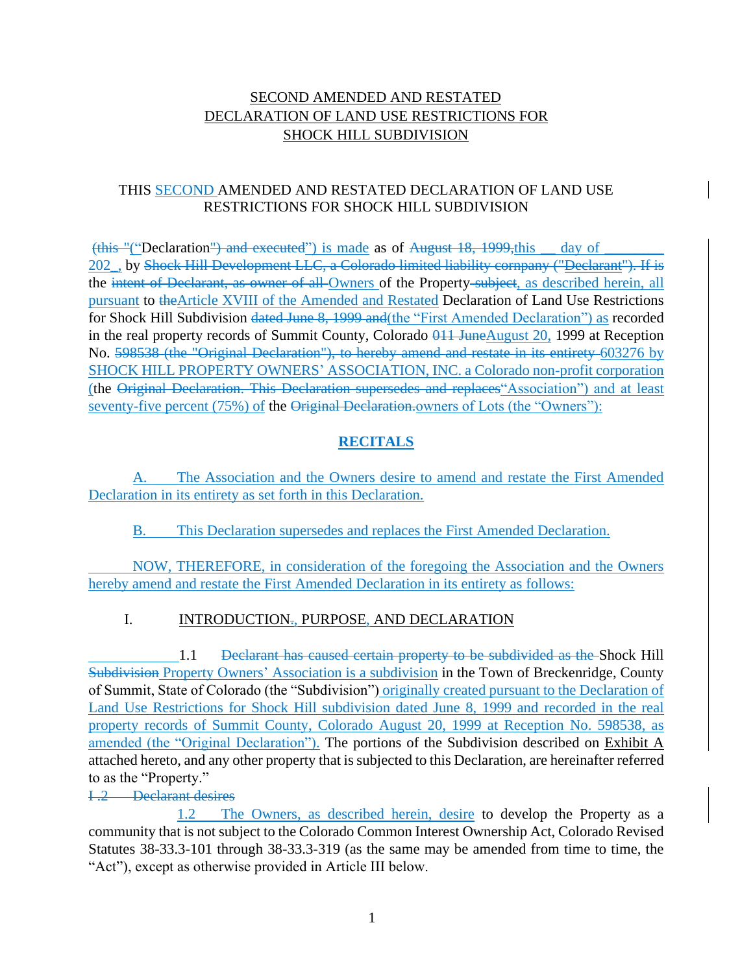# SECOND AMENDED AND RESTATED DECLARATION OF LAND USE RESTRICTIONS FOR SHOCK HILL SUBDIVISION

# THIS SECOND AMENDED AND RESTATED DECLARATION OF LAND USE RESTRICTIONS FOR SHOCK HILL SUBDIVISION

(this "("Declaration") and executed") is made as of August 18, 1999, this day of 202, by Shock Hill Development LLC, a Colorado limited liability cornpany ("Declarant"). If is the intent of Declarant, as owner of all Owners of the Property-subject, as described herein, all pursuant to theArticle XVIII of the Amended and Restated Declaration of Land Use Restrictions for Shock Hill Subdivision dated June 8, 1999 and(the "First Amended Declaration") as recorded in the real property records of Summit County, Colorado  $\theta$ 11 JuneAugust 20, 1999 at Reception No. 598538 (the "Original Declaration"), to hereby amend and restate in its entirety 603276 by SHOCK HILL PROPERTY OWNERS' ASSOCIATION, INC. a Colorado non-profit corporation (the Original Declaration. This Declaration supersedes and replaces"Association") and at least seventy-five percent (75%) of the Original Declaration.owners of Lots (the "Owners"):

# **RECITALS**

A. The Association and the Owners desire to amend and restate the First Amended Declaration in its entirety as set forth in this Declaration.

## B. This Declaration supersedes and replaces the First Amended Declaration.

NOW, THEREFORE, in consideration of the foregoing the Association and the Owners hereby amend and restate the First Amended Declaration in its entirety as follows:

## I. INTRODUCTION., PURPOSE, AND DECLARATION

1.1 <del>Declarant has caused certain property to be subdivided as the Shock Hill</del> Subdivision Property Owners' Association is a subdivision in the Town of Breckenridge, County of Summit, State of Colorado (the "Subdivision") originally created pursuant to the Declaration of Land Use Restrictions for Shock Hill subdivision dated June 8, 1999 and recorded in the real property records of Summit County, Colorado August 20, 1999 at Reception No. 598538, as amended (the "Original Declaration"). The portions of the Subdivision described on Exhibit A attached hereto, and any other property that is subjected to this Declaration, are hereinafter referred to as the "Property."

### I .2 Declarant desires

1.2 The Owners, as described herein, desire to develop the Property as a community that is not subject to the Colorado Common Interest Ownership Act, Colorado Revised Statutes 38-33.3-101 through 38-33.3-319 (as the same may be amended from time to time, the "Act"), except as otherwise provided in Article III below.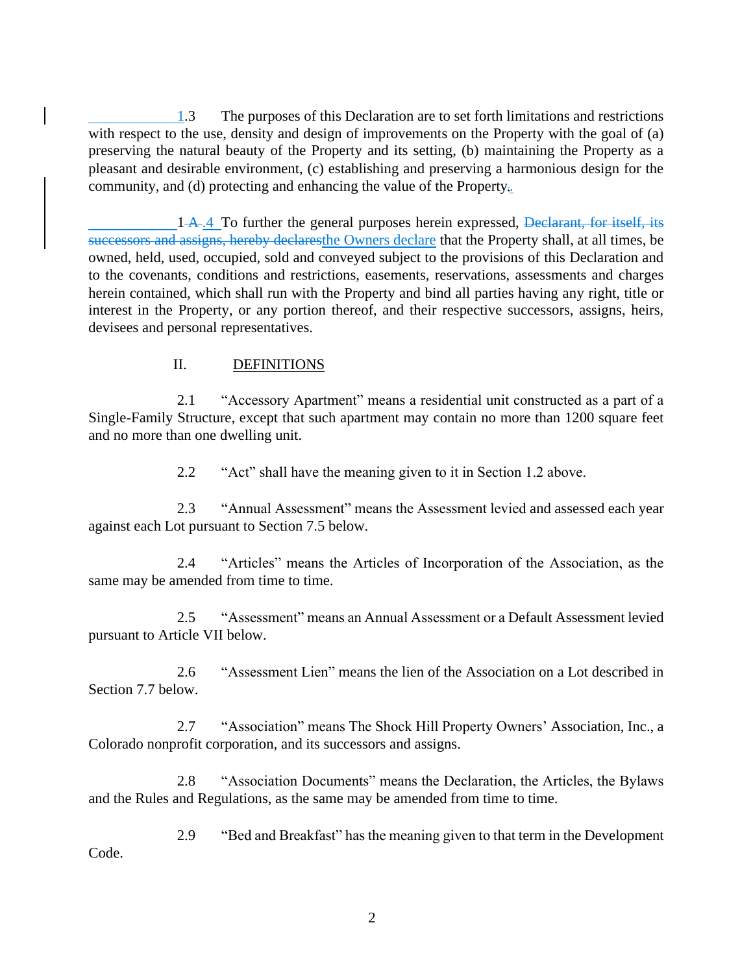1.3 The purposes of this Declaration are to set forth limitations and restrictions with respect to the use, density and design of improvements on the Property with the goal of (a) preserving the natural beauty of the Property and its setting, (b) maintaining the Property as a pleasant and desirable environment, (c) establishing and preserving a harmonious design for the community, and (d) protecting and enhancing the value of the Property.

 $1 + A$ . To further the general purposes herein expressed, Declarant, for itself, its successors and assigns, hereby declaresthe Owners declare that the Property shall, at all times, be owned, held, used, occupied, sold and conveyed subject to the provisions of this Declaration and to the covenants, conditions and restrictions, easements, reservations, assessments and charges herein contained, which shall run with the Property and bind all parties having any right, title or interest in the Property, or any portion thereof, and their respective successors, assigns, heirs, devisees and personal representatives.

## II. DEFINITIONS

2.1 "Accessory Apartment" means a residential unit constructed as a part of a Single-Family Structure, except that such apartment may contain no more than 1200 square feet and no more than one dwelling unit.

2.2 "Act" shall have the meaning given to it in Section 1.2 above.

2.3 "Annual Assessment" means the Assessment levied and assessed each year against each Lot pursuant to Section 7.5 below.

2.4 "Articles" means the Articles of Incorporation of the Association, as the same may be amended from time to time.

2.5 "Assessment" means an Annual Assessment or a Default Assessment levied pursuant to Article VII below.

2.6 "Assessment Lien" means the lien of the Association on a Lot described in Section 7.7 below.

2.7 "Association" means The Shock Hill Property Owners' Association, Inc., a Colorado nonprofit corporation, and its successors and assigns.

2.8 "Association Documents" means the Declaration, the Articles, the Bylaws and the Rules and Regulations, as the same may be amended from time to time.

2.9 "Bed and Breakfast" has the meaning given to that term in the Development Code.

2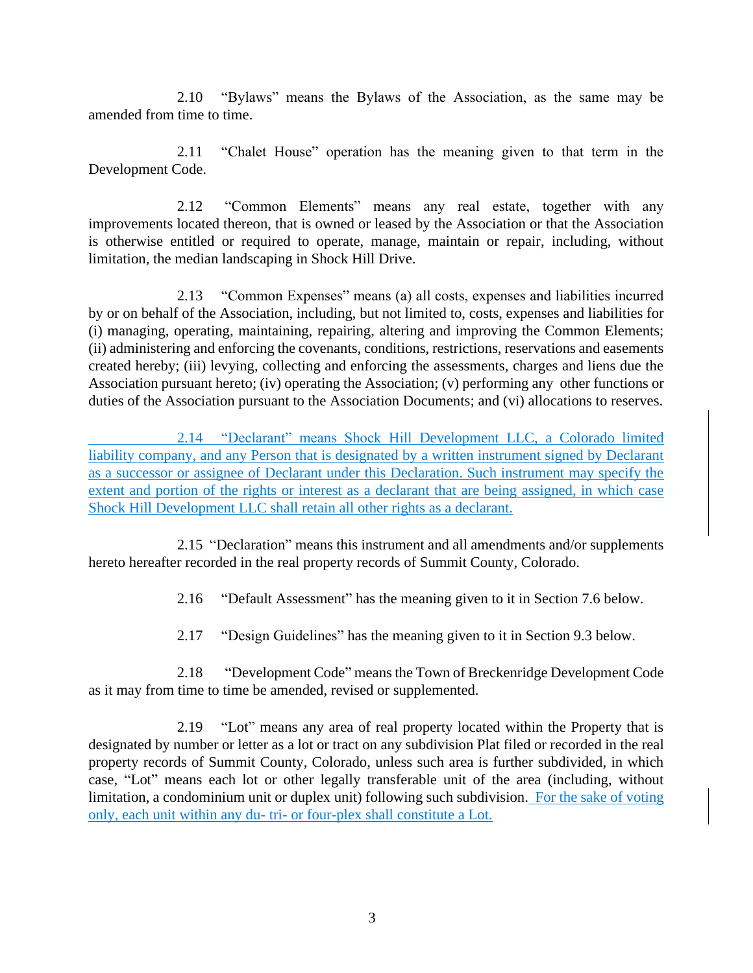2.10 "Bylaws" means the Bylaws of the Association, as the same may be amended from time to time.

2.11 "Chalet House" operation has the meaning given to that term in the Development Code.

2.12 "Common Elements" means any real estate, together with any improvements located thereon, that is owned or leased by the Association or that the Association is otherwise entitled or required to operate, manage, maintain or repair, including, without limitation, the median landscaping in Shock Hill Drive.

2.13 "Common Expenses" means (a) all costs, expenses and liabilities incurred by or on behalf of the Association, including, but not limited to, costs, expenses and liabilities for (i) managing, operating, maintaining, repairing, altering and improving the Common Elements; (ii) administering and enforcing the covenants, conditions, restrictions, reservations and easements created hereby; (iii) levying, collecting and enforcing the assessments, charges and liens due the Association pursuant hereto; (iv) operating the Association; (v) performing any other functions or duties of the Association pursuant to the Association Documents; and (vi) allocations to reserves.

2.14 "Declarant" means Shock Hill Development LLC, a Colorado limited liability company, and any Person that is designated by a written instrument signed by Declarant as a successor or assignee of Declarant under this Declaration. Such instrument may specify the extent and portion of the rights or interest as a declarant that are being assigned, in which case Shock Hill Development LLC shall retain all other rights as a declarant.

2.15 "Declaration" means this instrument and all amendments and/or supplements hereto hereafter recorded in the real property records of Summit County, Colorado.

2.16 "Default Assessment" has the meaning given to it in Section 7.6 below.

2.17 "Design Guidelines" has the meaning given to it in Section 9.3 below.

2.18 "Development Code" means the Town of Breckenridge Development Code as it may from time to time be amended, revised or supplemented.

2.19 "Lot" means any area of real property located within the Property that is designated by number or letter as a lot or tract on any subdivision Plat filed or recorded in the real property records of Summit County, Colorado, unless such area is further subdivided, in which case, "Lot" means each lot or other legally transferable unit of the area (including, without limitation, a condominium unit or duplex unit) following such subdivision. For the sake of voting only, each unit within any du- tri- or four-plex shall constitute a Lot.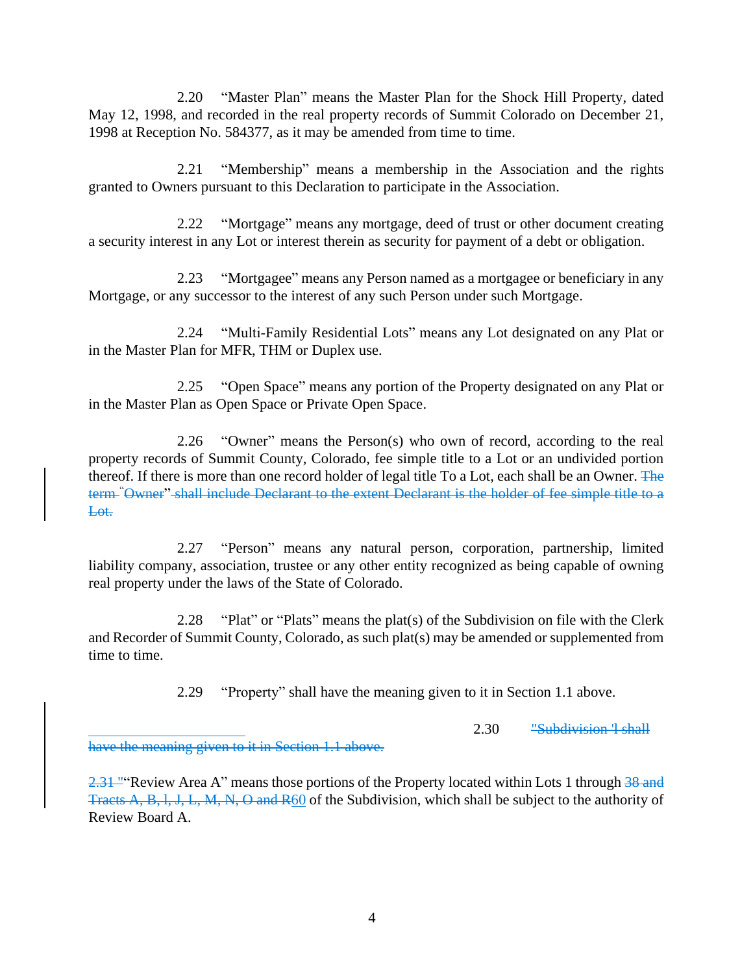2.20 "Master Plan" means the Master Plan for the Shock Hill Property, dated May 12, 1998, and recorded in the real property records of Summit Colorado on December 21, 1998 at Reception No. 584377, as it may be amended from time to time.

2.21 "Membership" means a membership in the Association and the rights granted to Owners pursuant to this Declaration to participate in the Association.

2.22 "Mortgage" means any mortgage, deed of trust or other document creating a security interest in any Lot or interest therein as security for payment of a debt or obligation.

2.23 "Mortgagee" means any Person named as a mortgagee or beneficiary in any Mortgage, or any successor to the interest of any such Person under such Mortgage.

2.24 "Multi-Family Residential Lots" means any Lot designated on any Plat or in the Master Plan for MFR, THM or Duplex use.

2.25 "Open Space" means any portion of the Property designated on any Plat or in the Master Plan as Open Space or Private Open Space.

2.26 "Owner" means the Person(s) who own of record, according to the real property records of Summit County, Colorado, fee simple title to a Lot or an undivided portion thereof. If there is more than one record holder of legal title To a Lot, each shall be an Owner. The term "Owner" shall include Declarant to the extent Declarant is the holder of fee simple title to a Lot.

2.27 "Person" means any natural person, corporation, partnership, limited liability company, association, trustee or any other entity recognized as being capable of owning real property under the laws of the State of Colorado.

2.28 "Plat" or "Plats" means the plat(s) of the Subdivision on file with the Clerk and Recorder of Summit County, Colorado, as such plat(s) may be amended or supplemented from time to time.

2.29 "Property" shall have the meaning given to it in Section 1.1 above.

2.30 "Subdivision 'l shall

have the meaning given to it in Section 1.1 above.

2.31 ""Review Area A" means those portions of the Property located within Lots 1 through 38 and Tracts A, B, l, J, L, M, N, O and R60 of the Subdivision, which shall be subject to the authority of Review Board A.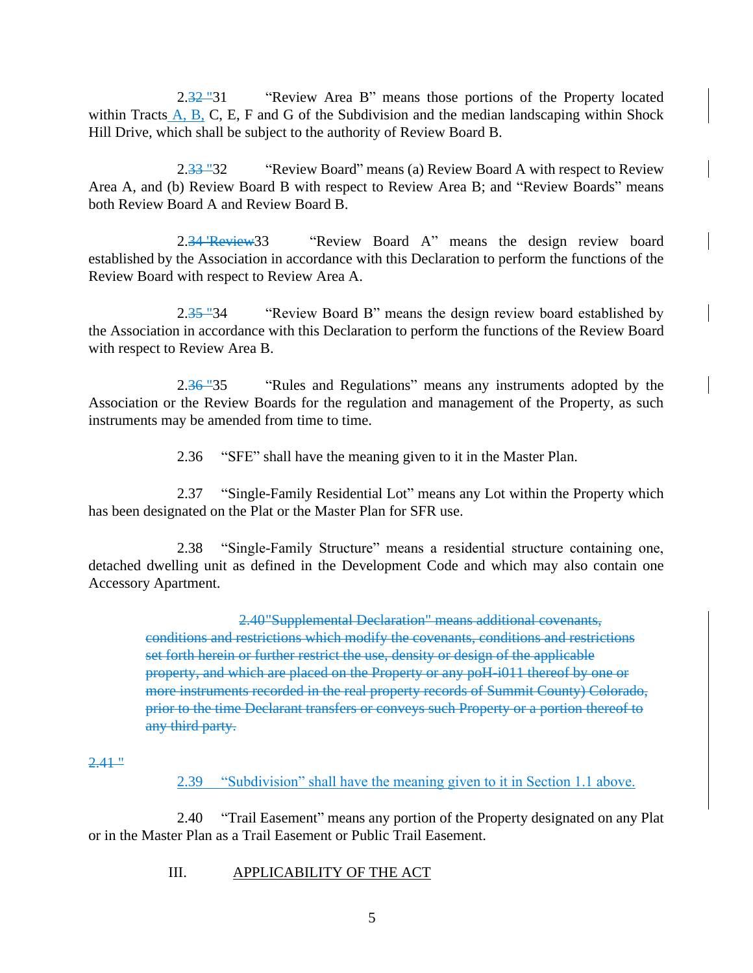2.32 "31 " "Review Area B" means those portions of the Property located within Tracts  $\overline{A}$ ,  $\overline{B}$ ,  $\overline{C}$ ,  $\overline{E}$ ,  $\overline{F}$  and  $\overline{G}$  of the Subdivision and the median landscaping within Shock Hill Drive, which shall be subject to the authority of Review Board B.

2.33 "32 ""Review Board" means (a) Review Board A with respect to Review Area A, and (b) Review Board B with respect to Review Area B; and "Review Boards" means both Review Board A and Review Board B.

2.34 'Review33 "'Review Board A" means the design review board established by the Association in accordance with this Declaration to perform the functions of the Review Board with respect to Review Area A.

2.35 "34 "Review Board B" means the design review board established by the Association in accordance with this Declaration to perform the functions of the Review Board with respect to Review Area B.

2.36 "35 "Rules and Regulations" means any instruments adopted by the Association or the Review Boards for the regulation and management of the Property, as such instruments may be amended from time to time.

2.36 "SFE" shall have the meaning given to it in the Master Plan.

2.37 "Single-Family Residential Lot" means any Lot within the Property which has been designated on the Plat or the Master Plan for SFR use.

2.38 "Single-Family Structure" means a residential structure containing one, detached dwelling unit as defined in the Development Code and which may also contain one Accessory Apartment.

2.40"Supplemental Declaration" means additional covenants,

conditions and restrictions which modify the covenants, conditions and restrictions set forth herein or further restrict the use, density or design of the applicable property, and which are placed on the Property or any poH-i011 thereof by one or more instruments recorded in the real property records of Summit County) Colorado, prior to the time Declarant transfers or conveys such Property or a portion thereof to any third party.

### $2.41$  "

2.39 "Subdivision" shall have the meaning given to it in Section 1.1 above.

2.40 "Trail Easement" means any portion of the Property designated on any Plat or in the Master Plan as a Trail Easement or Public Trail Easement.

### III. APPLICABILITY OF THE ACT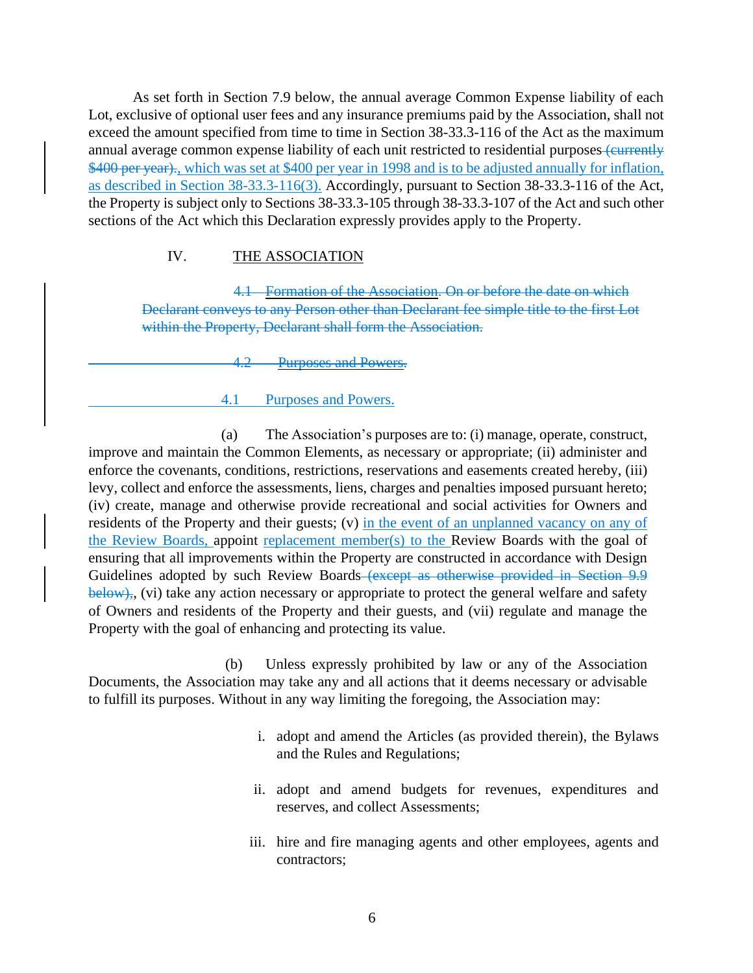As set forth in Section 7.9 below, the annual average Common Expense liability of each Lot, exclusive of optional user fees and any insurance premiums paid by the Association, shall not exceed the amount specified from time to time in Section 38-33.3-116 of the Act as the maximum annual average common expense liability of each unit restricted to residential purposes (currently \$400 per year)., which was set at \$400 per year in 1998 and is to be adjusted annually for inflation, as described in Section 38-33.3-116(3). Accordingly, pursuant to Section 38-33.3-116 of the Act, the Property is subject only to Sections 38-33.3-105 through 38-33.3-107 of the Act and such other sections of the Act which this Declaration expressly provides apply to the Property.

## IV. THE ASSOCIATION

4.1 Formation of the Association. On or before the date on which Declarant conveys to any Person other than Declarant fee simple title to the first Lot within the Property, Declarant shall form the Association.

4.2 Purposes and Powers.

### 4.1 Purposes and Powers.

(a) The Association's purposes are to: (i) manage, operate, construct, improve and maintain the Common Elements, as necessary or appropriate; (ii) administer and enforce the covenants, conditions, restrictions, reservations and easements created hereby, (iii) levy, collect and enforce the assessments, liens, charges and penalties imposed pursuant hereto; (iv) create, manage and otherwise provide recreational and social activities for Owners and residents of the Property and their guests; (v) in the event of an unplanned vacancy on any of the Review Boards, appoint replacement member(s) to the Review Boards with the goal of ensuring that all improvements within the Property are constructed in accordance with Design Guidelines adopted by such Review Boards (except as otherwise provided in Section 9.9 below),, (vi) take any action necessary or appropriate to protect the general welfare and safety of Owners and residents of the Property and their guests, and (vii) regulate and manage the Property with the goal of enhancing and protecting its value.

(b) Unless expressly prohibited by law or any of the Association Documents, the Association may take any and all actions that it deems necessary or advisable to fulfill its purposes. Without in any way limiting the foregoing, the Association may:

- i. adopt and amend the Articles (as provided therein), the Bylaws and the Rules and Regulations;
- ii. adopt and amend budgets for revenues, expenditures and reserves, and collect Assessments;
- iii. hire and fire managing agents and other employees, agents and contractors;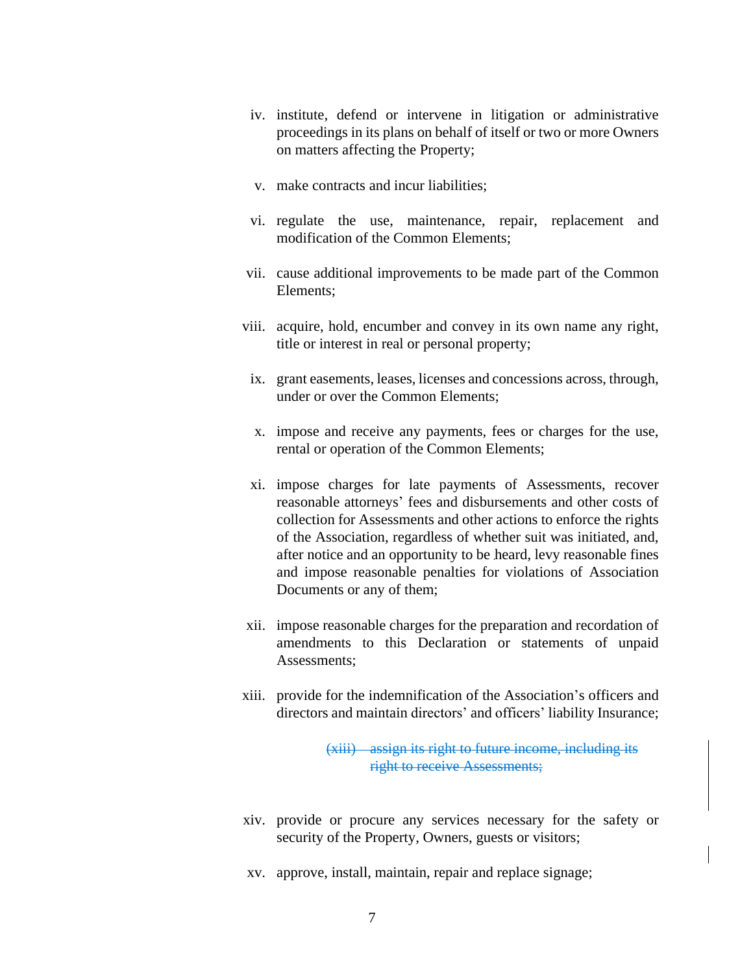- iv. institute, defend or intervene in litigation or administrative proceedings in its plans on behalf of itself or two or more Owners on matters affecting the Property;
- v. make contracts and incur liabilities;
- vi. regulate the use, maintenance, repair, replacement and modification of the Common Elements;
- vii. cause additional improvements to be made part of the Common Elements;
- viii. acquire, hold, encumber and convey in its own name any right, title or interest in real or personal property;
- ix. grant easements, leases, licenses and concessions across, through, under or over the Common Elements;
- x. impose and receive any payments, fees or charges for the use, rental or operation of the Common Elements;
- xi. impose charges for late payments of Assessments, recover reasonable attorneys' fees and disbursements and other costs of collection for Assessments and other actions to enforce the rights of the Association, regardless of whether suit was initiated, and, after notice and an opportunity to be heard, levy reasonable fines and impose reasonable penalties for violations of Association Documents or any of them;
- xii. impose reasonable charges for the preparation and recordation of amendments to this Declaration or statements of unpaid Assessments;
- xiii. provide for the indemnification of the Association's officers and directors and maintain directors' and officers' liability Insurance;

(xiii) assign its right to future income, including its right to receive Assessments;

- xiv. provide or procure any services necessary for the safety or security of the Property, Owners, guests or visitors;
- xv. approve, install, maintain, repair and replace signage;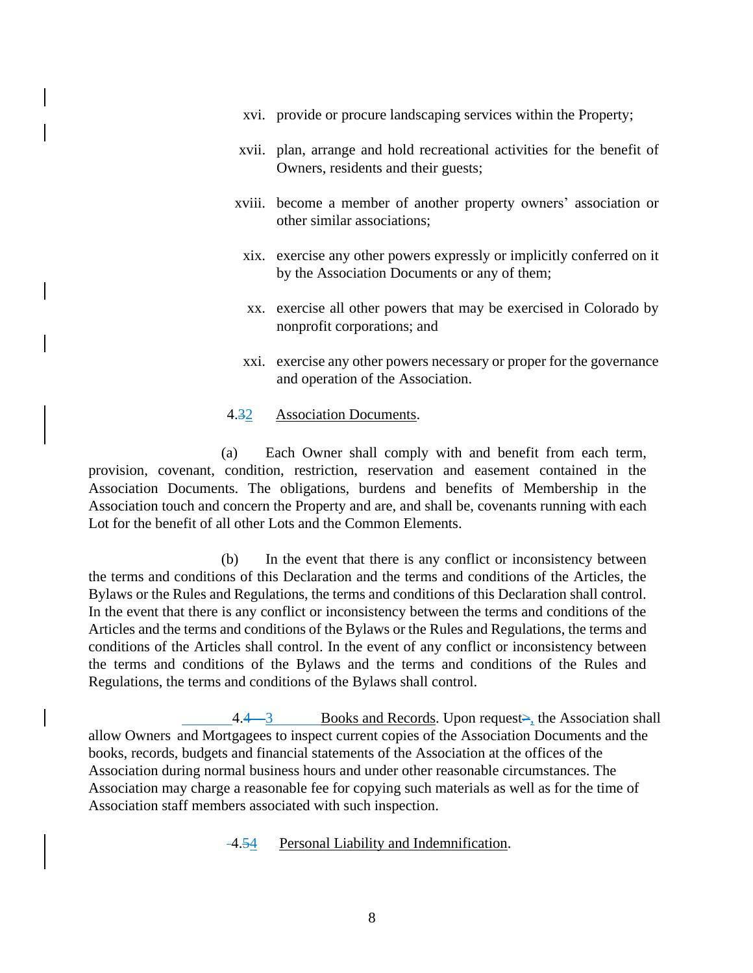- xvi. provide or procure landscaping services within the Property;
- xvii. plan, arrange and hold recreational activities for the benefit of Owners, residents and their guests;
- xviii. become a member of another property owners' association or other similar associations;
- xix. exercise any other powers expressly or implicitly conferred on it by the Association Documents or any of them;
- xx. exercise all other powers that may be exercised in Colorado by nonprofit corporations; and
- xxi. exercise any other powers necessary or proper for the governance and operation of the Association.

#### 4.32 Association Documents.

(a) Each Owner shall comply with and benefit from each term, provision, covenant, condition, restriction, reservation and easement contained in the Association Documents. The obligations, burdens and benefits of Membership in the Association touch and concern the Property and are, and shall be, covenants running with each Lot for the benefit of all other Lots and the Common Elements.

(b) In the event that there is any conflict or inconsistency between the terms and conditions of this Declaration and the terms and conditions of the Articles, the Bylaws or the Rules and Regulations, the terms and conditions of this Declaration shall control. In the event that there is any conflict or inconsistency between the terms and conditions of the Articles and the terms and conditions of the Bylaws or the Rules and Regulations, the terms and conditions of the Articles shall control. In the event of any conflict or inconsistency between the terms and conditions of the Bylaws and the terms and conditions of the Rules and Regulations, the terms and conditions of the Bylaws shall control.

 $\frac{4.4 - 3}{ }$  Books and Records. Upon request $\geq$ , the Association shall allow Owners and Mortgagees to inspect current copies of the Association Documents and the books, records, budgets and financial statements of the Association at the offices of the Association during normal business hours and under other reasonable circumstances. The Association may charge a reasonable fee for copying such materials as well as for the time of Association staff members associated with such inspection.

4.54 Personal Liability and Indemnification.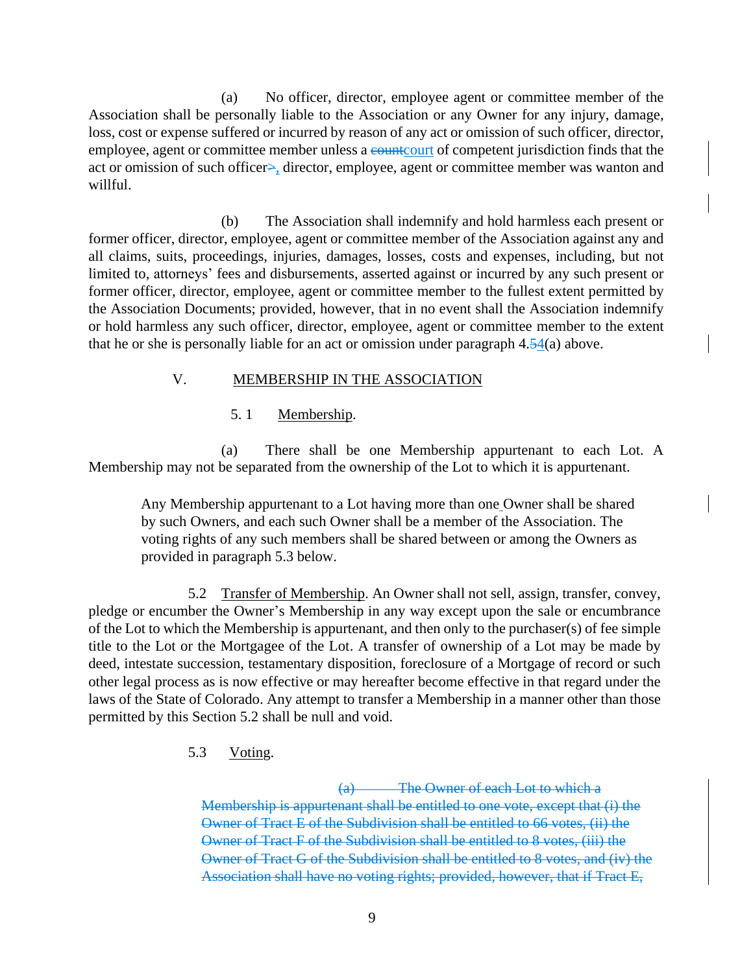(a) No officer, director, employee agent or committee member of the Association shall be personally liable to the Association or any Owner for any injury, damage, loss, cost or expense suffered or incurred by reason of any act or omission of such officer, director, employee, agent or committee member unless a countcourt of competent jurisdiction finds that the act or omission of such officer>, director, employee, agent or committee member was wanton and willful.

(b) The Association shall indemnify and hold harmless each present or former officer, director, employee, agent or committee member of the Association against any and all claims, suits, proceedings, injuries, damages, losses, costs and expenses, including, but not limited to, attorneys' fees and disbursements, asserted against or incurred by any such present or former officer, director, employee, agent or committee member to the fullest extent permitted by the Association Documents; provided, however, that in no event shall the Association indemnify or hold harmless any such officer, director, employee, agent or committee member to the extent that he or she is personally liable for an act or omission under paragraph 4.54(a) above.

## V. MEMBERSHIP IN THE ASSOCIATION

### 5. 1 Membership.

(a) There shall be one Membership appurtenant to each Lot. A Membership may not be separated from the ownership of the Lot to which it is appurtenant.

Any Membership appurtenant to a Lot having more than one Owner shall be shared by such Owners, and each such Owner shall be a member of the Association. The voting rights of any such members shall be shared between or among the Owners as provided in paragraph 5.3 below.

5.2 Transfer of Membership. An Owner shall not sell, assign, transfer, convey, pledge or encumber the Owner's Membership in any way except upon the sale or encumbrance of the Lot to which the Membership is appurtenant, and then only to the purchaser(s) of fee simple title to the Lot or the Mortgagee of the Lot. A transfer of ownership of a Lot may be made by deed, intestate succession, testamentary disposition, foreclosure of a Mortgage of record or such other legal process as is now effective or may hereafter become effective in that regard under the laws of the State of Colorado. Any attempt to transfer a Membership in a manner other than those permitted by this Section 5.2 shall be null and void.

5.3 Voting.

(a) The Owner of each Lot to which a Membership is appurtenant shall be entitled to one vote, except that (i) the Owner of Tract E of the Subdivision shall be entitled to 66 votes, (ii) the Owner of Tract F of the Subdivision shall be entitled to 8 votes, (iii) the Owner of Tract G of the Subdivision shall be entitled to 8 votes, and (iv) the Association shall have no voting rights; provided, however, that if Tract E,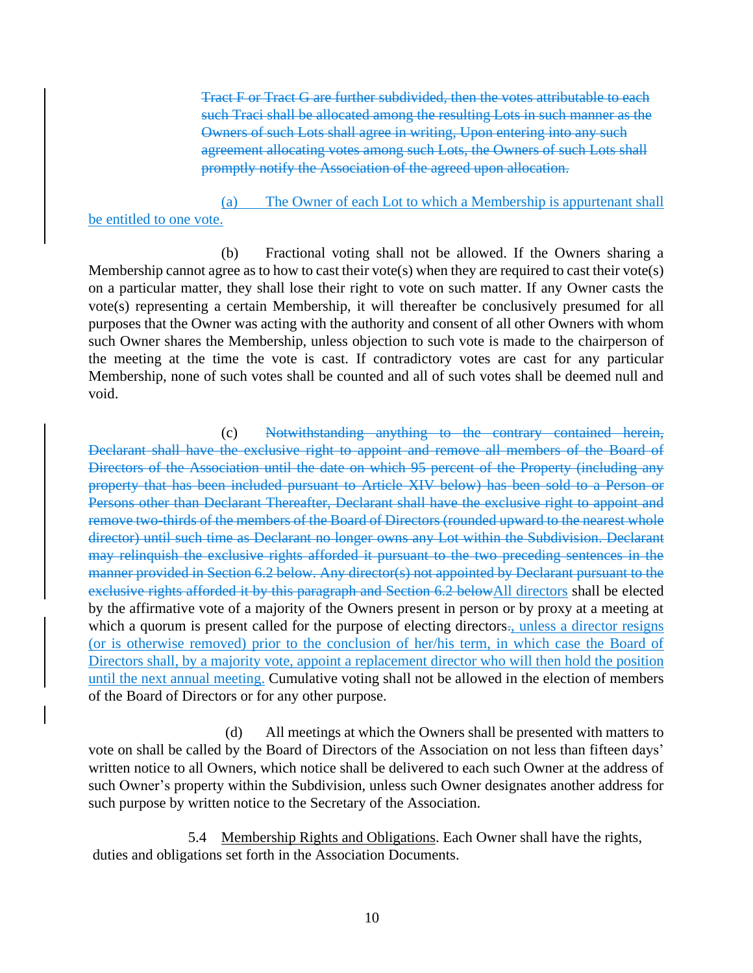Tract F or Tract G are further subdivided, then the votes attributable to each such Traci shall be allocated among the resulting Lots in such manner as the Owners of such Lots shall agree in writing, Upon entering into any such agreement allocating votes among such Lots, the Owners of such Lots shall promptly notify the Association of the agreed upon allocation.

### (a) The Owner of each Lot to which a Membership is appurtenant shall be entitled to one vote.

(b) Fractional voting shall not be allowed. If the Owners sharing a Membership cannot agree as to how to cast their vote(s) when they are required to cast their vote(s) on a particular matter, they shall lose their right to vote on such matter. If any Owner casts the vote(s) representing a certain Membership, it will thereafter be conclusively presumed for all purposes that the Owner was acting with the authority and consent of all other Owners with whom such Owner shares the Membership, unless objection to such vote is made to the chairperson of the meeting at the time the vote is cast. If contradictory votes are cast for any particular Membership, none of such votes shall be counted and all of such votes shall be deemed null and void.

(c) Notwithstanding anything to the contrary contained herein, Declarant shall have the exclusive right to appoint and remove all members of the Board of Directors of the Association until the date on which 95 percent of the Property (including any property that has been included pursuant to Article XIV below) has been sold to a Person or Persons other than Declarant Thereafter, Declarant shall have the exclusive right to appoint and remove two-thirds of the members of the Board of Directors (rounded upward to the nearest whole director) until such time as Declarant no longer owns any Lot within the Subdivision. Declarant may relinquish the exclusive rights afforded it pursuant to the two preceding sentences in the manner provided in Section 6.2 below. Any director(s) not appointed by Declarant pursuant to the exclusive rights afforded it by this paragraph and Section 6.2 belowAll directors shall be elected by the affirmative vote of a majority of the Owners present in person or by proxy at a meeting at which a quorum is present called for the purpose of electing directors., unless a director resigns (or is otherwise removed) prior to the conclusion of her/his term, in which case the Board of Directors shall, by a majority vote, appoint a replacement director who will then hold the position until the next annual meeting. Cumulative voting shall not be allowed in the election of members of the Board of Directors or for any other purpose.

(d) All meetings at which the Owners shall be presented with matters to vote on shall be called by the Board of Directors of the Association on not less than fifteen days' written notice to all Owners, which notice shall be delivered to each such Owner at the address of such Owner's property within the Subdivision, unless such Owner designates another address for such purpose by written notice to the Secretary of the Association.

5.4 Membership Rights and Obligations. Each Owner shall have the rights, duties and obligations set forth in the Association Documents.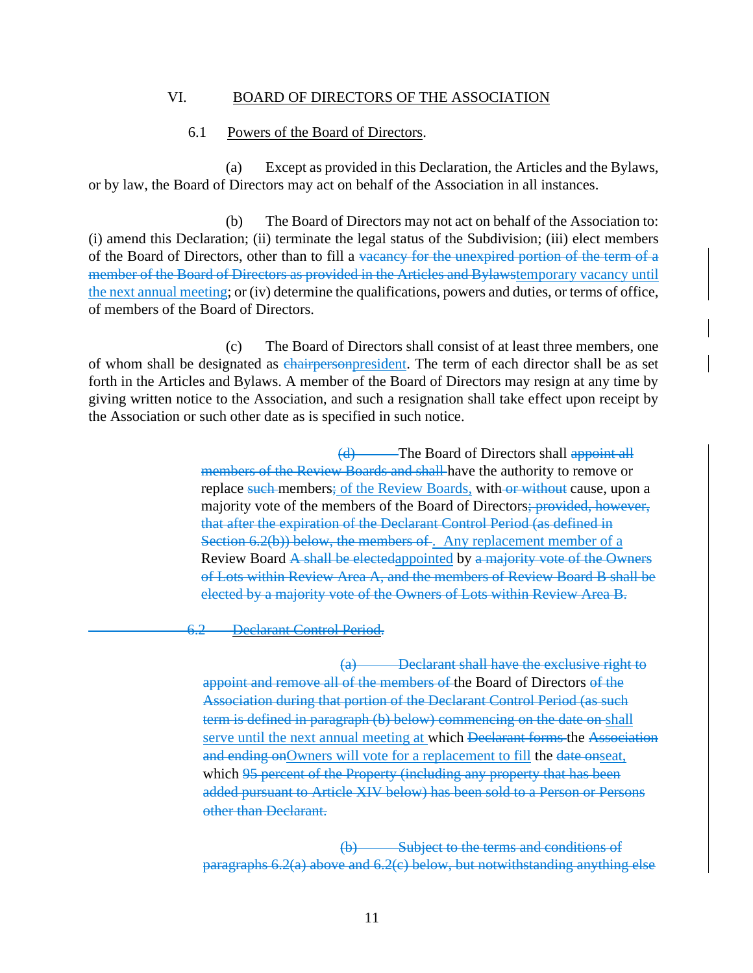#### VI. BOARD OF DIRECTORS OF THE ASSOCIATION

#### 6.1 Powers of the Board of Directors.

(a) Except as provided in this Declaration, the Articles and the Bylaws, or by law, the Board of Directors may act on behalf of the Association in all instances.

(b) The Board of Directors may not act on behalf of the Association to: (i) amend this Declaration; (ii) terminate the legal status of the Subdivision; (iii) elect members of the Board of Directors, other than to fill a vacancy for the unexpired portion of the term of a member of the Board of Directors as provided in the Articles and Bylawstemporary vacancy until the next annual meeting; or (iv) determine the qualifications, powers and duties, or terms of office, of members of the Board of Directors.

(c) The Board of Directors shall consist of at least three members, one of whom shall be designated as chairpersonpresident. The term of each director shall be as set forth in the Articles and Bylaws. A member of the Board of Directors may resign at any time by giving written notice to the Association, and such a resignation shall take effect upon receipt by the Association or such other date as is specified in such notice.

> (d) The Board of Directors shall appoint all members of the Review Boards and shall have the authority to remove or replace such members; of the Review Boards, with or without cause, upon a majority vote of the members of the Board of Directors; provided, however, that after the expiration of the Declarant Control Period (as defined in Section 6.2(b)) below, the members of. Any replacement member of a Review Board A shall be electedappointed by a majority vote of the Owners of Lots within Review Area A, and the members of Review Board B shall be elected by a majority vote of the Owners of Lots within Review Area B.

6.2 Declarant Control Period.

(a) Declarant shall have the exclusive right to appoint and remove all of the members of the Board of Directors of the Association during that portion of the Declarant Control Period (as such term is defined in paragraph (b) below) commencing on the date on shall serve until the next annual meeting at which Declarant forms the Association and ending onOwners will vote for a replacement to fill the date onseat, which 95 percent of the Property (including any property that has been added pursuant to Article XIV below) has been sold to a Person or Persons other than Declarant.

(b) Subject to the terms and conditions of paragraphs 6.2(a) above and 6.2(c) below, but notwithstanding anything else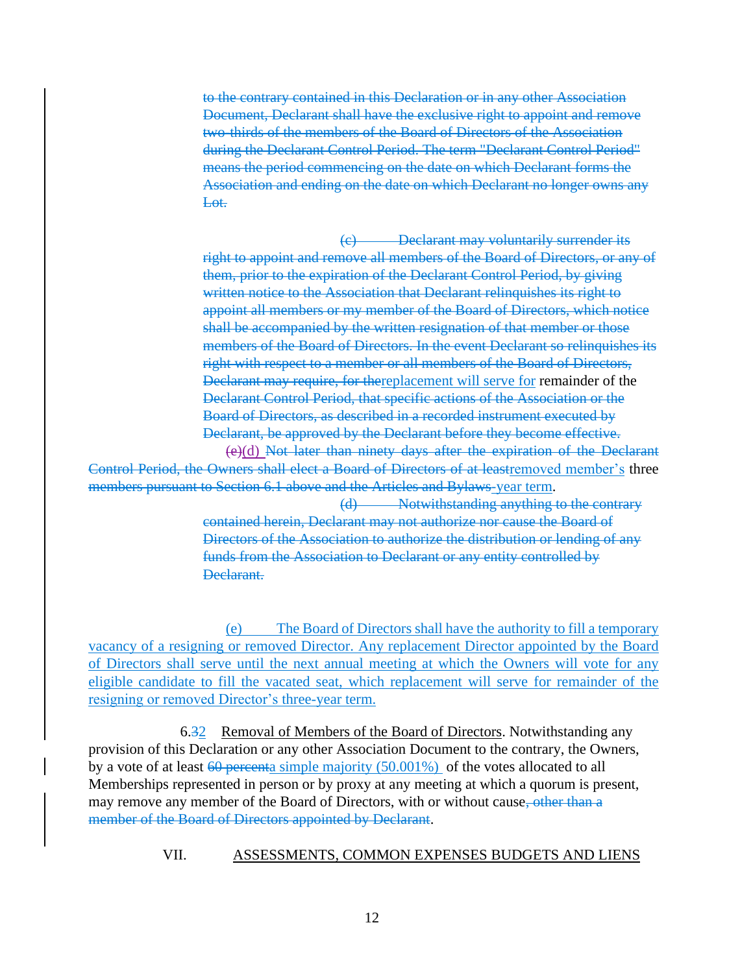to the contrary contained in this Declaration or in any other Association Document, Declarant shall have the exclusive right to appoint and remove two-thirds of the members of the Board of Directors of the Association during the Declarant Control Period. The term "Declarant Control Period" means the period commencing on the date on which Declarant forms the Association and ending on the date on which Declarant no longer owns any Lot.

(c) Declarant may voluntarily surrender its right to appoint and remove all members of the Board of Directors, or any of them, prior to the expiration of the Declarant Control Period, by giving written notice to the Association that Declarant relinquishes its right to appoint all members or my member of the Board of Directors, which notice shall be accompanied by the written resignation of that member or those members of the Board of Directors. In the event Declarant so relinquishes its right with respect to a member or all members of the Board of Directors, Declarant may require, for thereplacement will serve for remainder of the Declarant Control Period, that specific actions of the Association or the Board of Directors, as described in a recorded instrument executed by Declarant, be approved by the Declarant before they become effective.

(e)(d) Not later than ninety days after the expiration of the Declarant Control Period, the Owners shall elect a Board of Directors of at leastremoved member's three members pursuant to Section 6.1 above and the Articles and Bylaws-year term.

> (d) Notwithstanding anything to the contrary contained herein, Declarant may not authorize nor cause the Board of Directors of the Association to authorize the distribution or lending of any funds from the Association to Declarant or any entity controlled by Declarant.

(e) The Board of Directors shall have the authority to fill a temporary vacancy of a resigning or removed Director. Any replacement Director appointed by the Board of Directors shall serve until the next annual meeting at which the Owners will vote for any eligible candidate to fill the vacated seat, which replacement will serve for remainder of the resigning or removed Director's three-year term.

6.32 Removal of Members of the Board of Directors. Notwithstanding any provision of this Declaration or any other Association Document to the contrary, the Owners, by a vote of at least  $60$  percenta simple majority (50.001%) of the votes allocated to all Memberships represented in person or by proxy at any meeting at which a quorum is present, may remove any member of the Board of Directors, with or without cause, other than a member of the Board of Directors appointed by Declarant.

VII. ASSESSMENTS, COMMON EXPENSES BUDGETS AND LIENS

12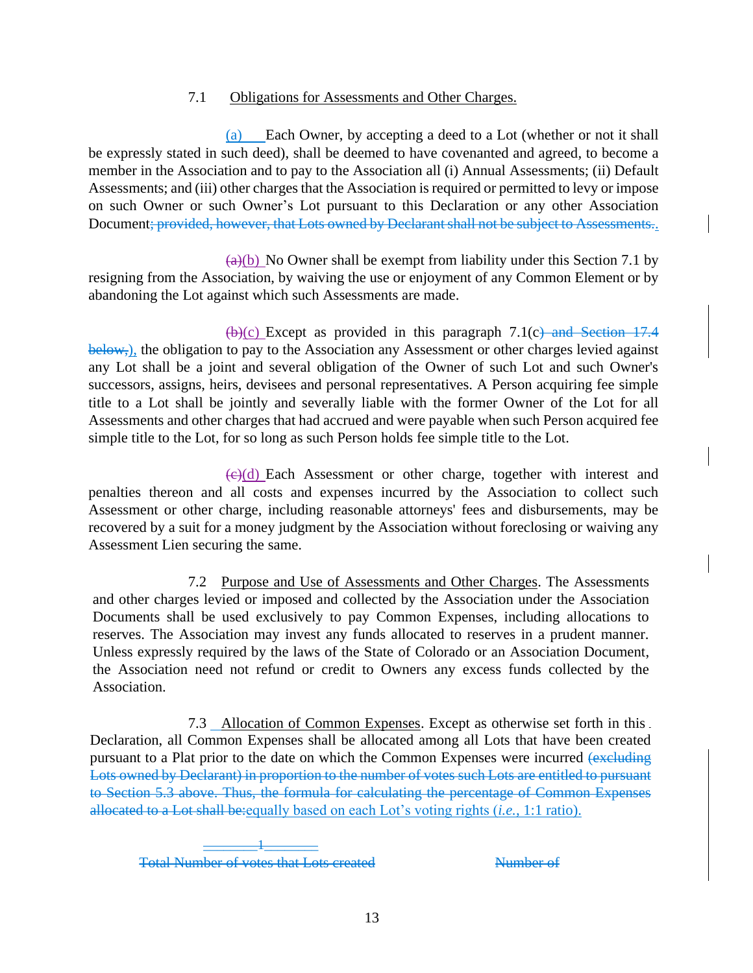### 7.1 Obligations for Assessments and Other Charges.

(a) Each Owner, by accepting a deed to a Lot (whether or not it shall be expressly stated in such deed), shall be deemed to have covenanted and agreed, to become a member in the Association and to pay to the Association all (i) Annual Assessments; (ii) Default Assessments; and (iii) other charges that the Association is required or permitted to levy or impose on such Owner or such Owner's Lot pursuant to this Declaration or any other Association Document; provided, however, that Lots owned by Declarant shall not be subject to Assessments..

 $\frac{a(0)}{b}$  No Owner shall be exempt from liability under this Section 7.1 by resigning from the Association, by waiving the use or enjoyment of any Common Element or by abandoning the Lot against which such Assessments are made.

 $(b)(c)$  Except as provided in this paragraph 7.1(c) and Section 17.4 below,), the obligation to pay to the Association any Assessment or other charges levied against any Lot shall be a joint and several obligation of the Owner of such Lot and such Owner's successors, assigns, heirs, devisees and personal representatives. A Person acquiring fee simple title to a Lot shall be jointly and severally liable with the former Owner of the Lot for all Assessments and other charges that had accrued and were payable when such Person acquired fee simple title to the Lot, for so long as such Person holds fee simple title to the Lot.

 $\left(\frac{c}{c}\right)$  Each Assessment or other charge, together with interest and penalties thereon and all costs and expenses incurred by the Association to collect such Assessment or other charge, including reasonable attorneys' fees and disbursements, may be recovered by a suit for a money judgment by the Association without foreclosing or waiving any Assessment Lien securing the same.

7.2 Purpose and Use of Assessments and Other Charges. The Assessments and other charges levied or imposed and collected by the Association under the Association Documents shall be used exclusively to pay Common Expenses, including allocations to reserves. The Association may invest any funds allocated to reserves in a prudent manner. Unless expressly required by the laws of the State of Colorado or an Association Document, the Association need not refund or credit to Owners any excess funds collected by the Association.

7.3 Allocation of Common Expenses. Except as otherwise set forth in this Declaration, all Common Expenses shall be allocated among all Lots that have been created pursuant to a Plat prior to the date on which the Common Expenses were incurred (excluding Lots owned by Declarant) in proportion to the number of votes such Lots are entitled to pursuant to Section 5.3 above. Thus, the formula for calculating the percentage of Common Expenses allocated to a Lot shall be:equally based on each Lot's voting rights (*i.e.*, 1:1 ratio).

 $\frac{1}{\sqrt{2\pi}}$ Total Number of votes that Lots created Number of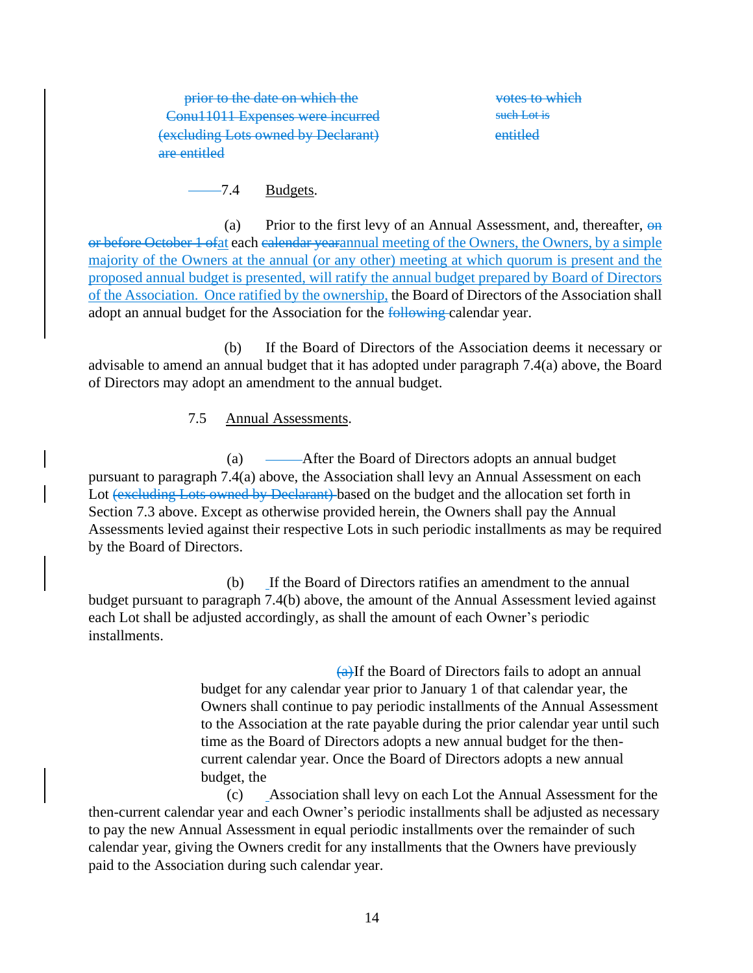prior to the date on which the votes to which Conu11011 Expenses were incurred such Lot is (excluding Lots owned by Declarant) are entitled

entitled

7.4 Budgets.

(a) Prior to the first levy of an Annual Assessment, and, thereafter,  $\Theta$ **n** or before October 1 ofat each calendar yearannual meeting of the Owners, the Owners, by a simple majority of the Owners at the annual (or any other) meeting at which quorum is present and the proposed annual budget is presented, will ratify the annual budget prepared by Board of Directors of the Association. Once ratified by the ownership, the Board of Directors of the Association shall adopt an annual budget for the Association for the following-calendar year.

(b) If the Board of Directors of the Association deems it necessary or advisable to amend an annual budget that it has adopted under paragraph 7.4(a) above, the Board of Directors may adopt an amendment to the annual budget.

7.5 Annual Assessments.

(a) After the Board of Directors adopts an annual budget pursuant to paragraph 7.4(a) above, the Association shall levy an Annual Assessment on each Lot (excluding Lots owned by Declarant) based on the budget and the allocation set forth in Section 7.3 above. Except as otherwise provided herein, the Owners shall pay the Annual Assessments levied against their respective Lots in such periodic installments as may be required by the Board of Directors.

(b) If the Board of Directors ratifies an amendment to the annual budget pursuant to paragraph 7.4(b) above, the amount of the Annual Assessment levied against each Lot shall be adjusted accordingly, as shall the amount of each Owner's periodic installments.

> $(a)$ If the Board of Directors fails to adopt an annual budget for any calendar year prior to January 1 of that calendar year, the Owners shall continue to pay periodic installments of the Annual Assessment to the Association at the rate payable during the prior calendar year until such time as the Board of Directors adopts a new annual budget for the thencurrent calendar year. Once the Board of Directors adopts a new annual budget, the

(c) Association shall levy on each Lot the Annual Assessment for the then-current calendar year and each Owner's periodic installments shall be adjusted as necessary to pay the new Annual Assessment in equal periodic installments over the remainder of such calendar year, giving the Owners credit for any installments that the Owners have previously paid to the Association during such calendar year.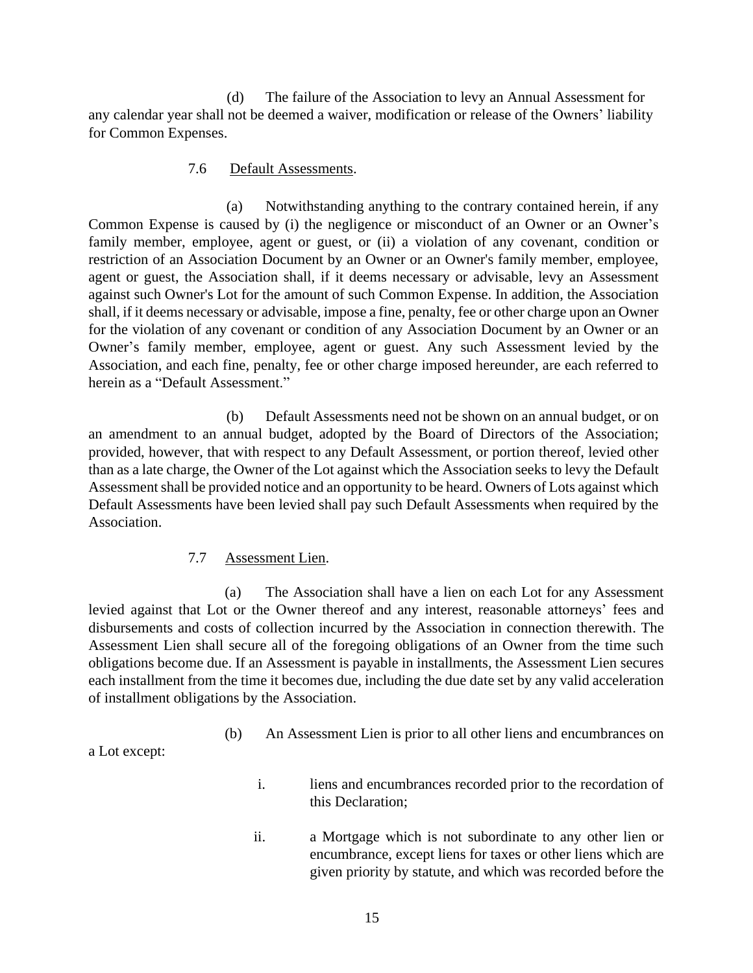(d) The failure of the Association to levy an Annual Assessment for any calendar year shall not be deemed a waiver, modification or release of the Owners' liability for Common Expenses.

#### 7.6 Default Assessments.

(a) Notwithstanding anything to the contrary contained herein, if any Common Expense is caused by (i) the negligence or misconduct of an Owner or an Owner's family member, employee, agent or guest, or (ii) a violation of any covenant, condition or restriction of an Association Document by an Owner or an Owner's family member, employee, agent or guest, the Association shall, if it deems necessary or advisable, levy an Assessment against such Owner's Lot for the amount of such Common Expense. In addition, the Association shall, if it deems necessary or advisable, impose a fine, penalty, fee or other charge upon an Owner for the violation of any covenant or condition of any Association Document by an Owner or an Owner's family member, employee, agent or guest. Any such Assessment levied by the Association, and each fine, penalty, fee or other charge imposed hereunder, are each referred to herein as a "Default Assessment."

(b) Default Assessments need not be shown on an annual budget, or on an amendment to an annual budget, adopted by the Board of Directors of the Association; provided, however, that with respect to any Default Assessment, or portion thereof, levied other than as a late charge, the Owner of the Lot against which the Association seeks to levy the Default Assessment shall be provided notice and an opportunity to be heard. Owners of Lots against which Default Assessments have been levied shall pay such Default Assessments when required by the Association.

#### 7.7 Assessment Lien.

(a) The Association shall have a lien on each Lot for any Assessment levied against that Lot or the Owner thereof and any interest, reasonable attorneys' fees and disbursements and costs of collection incurred by the Association in connection therewith. The Assessment Lien shall secure all of the foregoing obligations of an Owner from the time such obligations become due. If an Assessment is payable in installments, the Assessment Lien secures each installment from the time it becomes due, including the due date set by any valid acceleration of installment obligations by the Association.

(b) An Assessment Lien is prior to all other liens and encumbrances on

a Lot except:

- i. liens and encumbrances recorded prior to the recordation of this Declaration;
- ii. a Mortgage which is not subordinate to any other lien or encumbrance, except liens for taxes or other liens which are given priority by statute, and which was recorded before the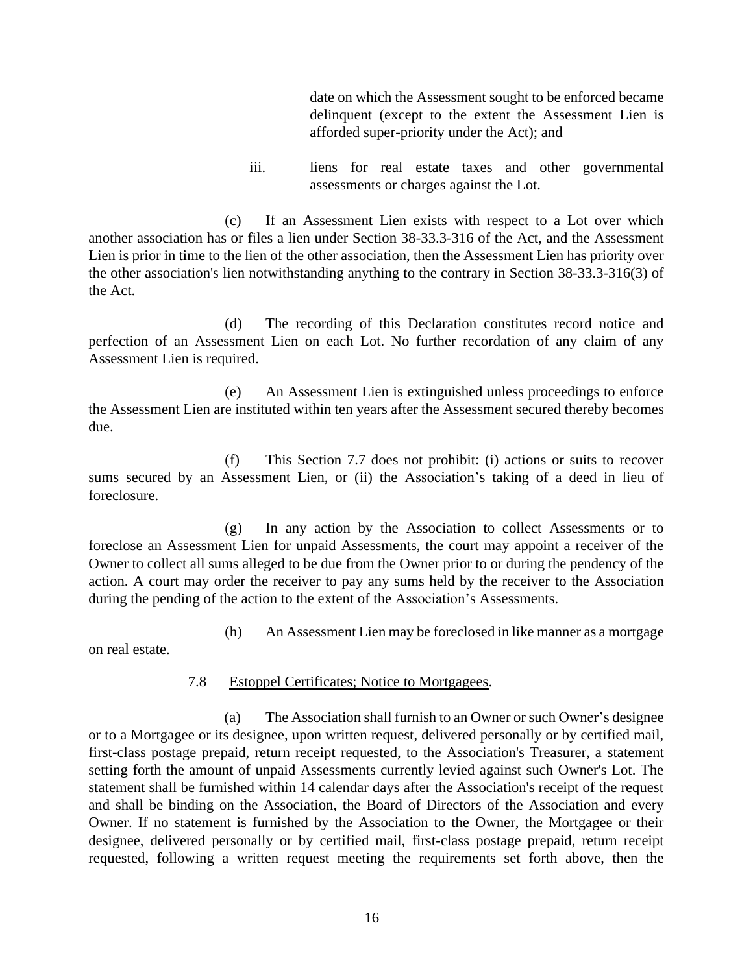date on which the Assessment sought to be enforced became delinquent (except to the extent the Assessment Lien is afforded super-priority under the Act); and

iii. liens for real estate taxes and other governmental assessments or charges against the Lot.

(c) If an Assessment Lien exists with respect to a Lot over which another association has or files a lien under Section 38-33.3-316 of the Act, and the Assessment Lien is prior in time to the lien of the other association, then the Assessment Lien has priority over the other association's lien notwithstanding anything to the contrary in Section 38-33.3-316(3) of the Act.

(d) The recording of this Declaration constitutes record notice and perfection of an Assessment Lien on each Lot. No further recordation of any claim of any Assessment Lien is required.

(e) An Assessment Lien is extinguished unless proceedings to enforce the Assessment Lien are instituted within ten years after the Assessment secured thereby becomes due.

(f) This Section 7.7 does not prohibit: (i) actions or suits to recover sums secured by an Assessment Lien, or (ii) the Association's taking of a deed in lieu of foreclosure.

(g) In any action by the Association to collect Assessments or to foreclose an Assessment Lien for unpaid Assessments, the court may appoint a receiver of the Owner to collect all sums alleged to be due from the Owner prior to or during the pendency of the action. A court may order the receiver to pay any sums held by the receiver to the Association during the pending of the action to the extent of the Association's Assessments.

(h) An Assessment Lien may be foreclosed in like manner as a mortgage

on real estate.

### 7.8 Estoppel Certificates; Notice to Mortgagees.

(a) The Association shall furnish to an Owner or such Owner's designee or to a Mortgagee or its designee, upon written request, delivered personally or by certified mail, first-class postage prepaid, return receipt requested, to the Association's Treasurer, a statement setting forth the amount of unpaid Assessments currently levied against such Owner's Lot. The statement shall be furnished within 14 calendar days after the Association's receipt of the request and shall be binding on the Association, the Board of Directors of the Association and every Owner. If no statement is furnished by the Association to the Owner, the Mortgagee or their designee, delivered personally or by certified mail, first-class postage prepaid, return receipt requested, following a written request meeting the requirements set forth above, then the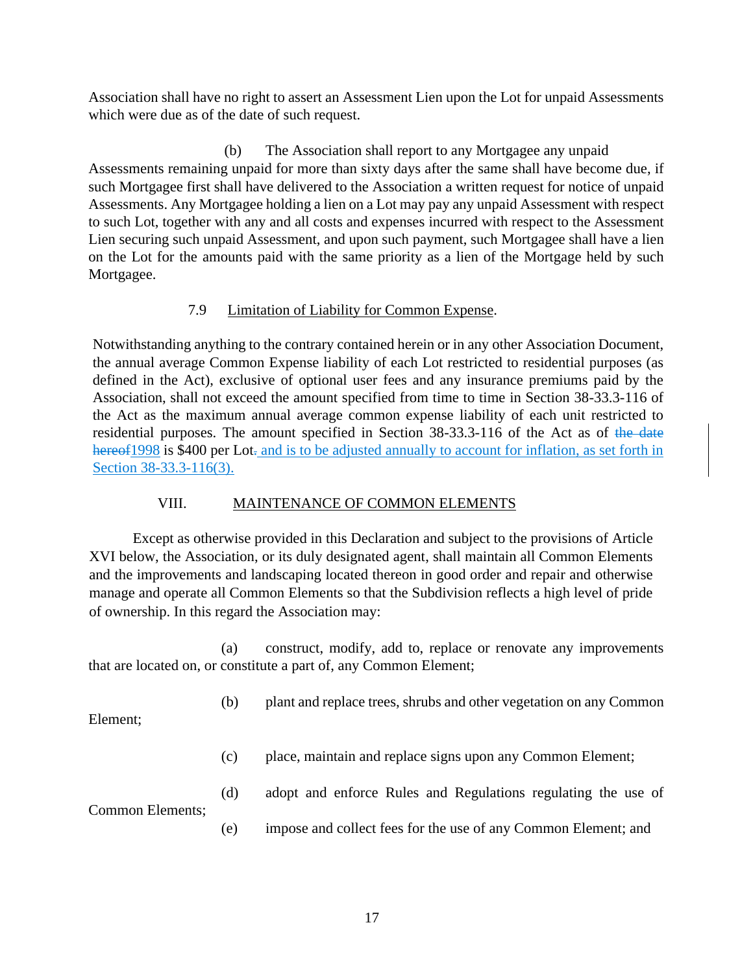Association shall have no right to assert an Assessment Lien upon the Lot for unpaid Assessments which were due as of the date of such request.

(b) The Association shall report to any Mortgagee any unpaid Assessments remaining unpaid for more than sixty days after the same shall have become due, if such Mortgagee first shall have delivered to the Association a written request for notice of unpaid Assessments. Any Mortgagee holding a lien on a Lot may pay any unpaid Assessment with respect to such Lot, together with any and all costs and expenses incurred with respect to the Assessment Lien securing such unpaid Assessment, and upon such payment, such Mortgagee shall have a lien on the Lot for the amounts paid with the same priority as a lien of the Mortgage held by such Mortgagee.

# 7.9 Limitation of Liability for Common Expense.

Notwithstanding anything to the contrary contained herein or in any other Association Document, the annual average Common Expense liability of each Lot restricted to residential purposes (as defined in the Act), exclusive of optional user fees and any insurance premiums paid by the Association, shall not exceed the amount specified from time to time in Section 38-33.3-116 of the Act as the maximum annual average common expense liability of each unit restricted to residential purposes. The amount specified in Section 38-33.3-116 of the Act as of the date hereof 1998 is \$400 per Lot. and is to be adjusted annually to account for inflation, as set forth in Section 38-33.3-116(3).

## VIII. MAINTENANCE OF COMMON ELEMENTS

Except as otherwise provided in this Declaration and subject to the provisions of Article XVI below, the Association, or its duly designated agent, shall maintain all Common Elements and the improvements and landscaping located thereon in good order and repair and otherwise manage and operate all Common Elements so that the Subdivision reflects a high level of pride of ownership. In this regard the Association may:

(a) construct, modify, add to, replace or renovate any improvements that are located on, or constitute a part of, any Common Element;

(b) plant and replace trees, shrubs and other vegetation on any Common

Element;

(c) place, maintain and replace signs upon any Common Element;

Common Elements;

(d) adopt and enforce Rules and Regulations regulating the use of

(e) impose and collect fees for the use of any Common Element; and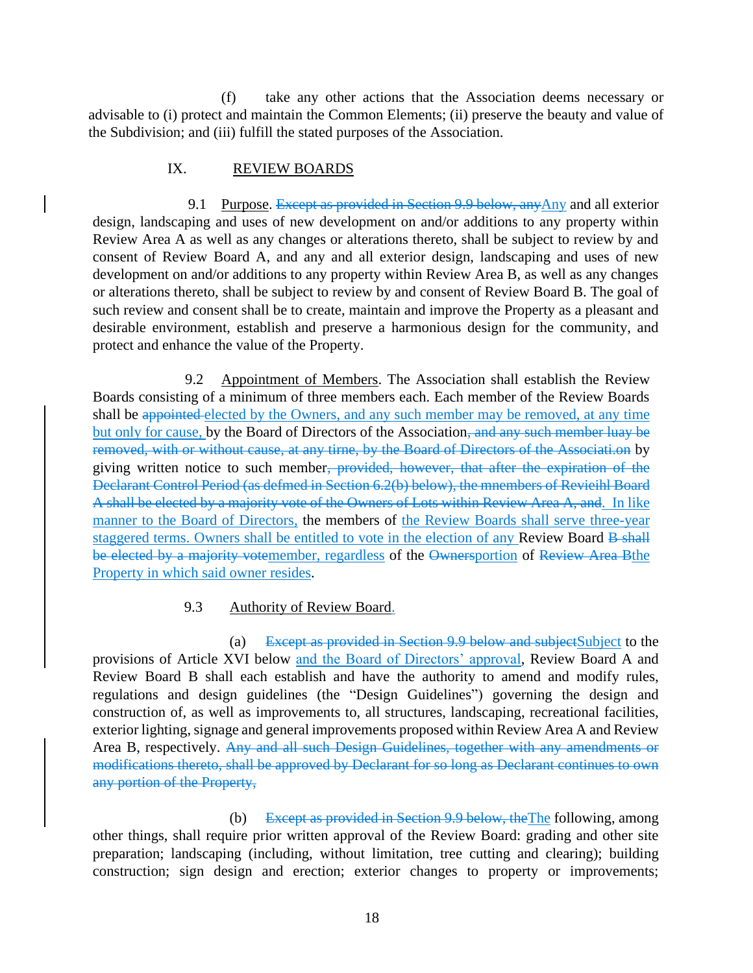(f) take any other actions that the Association deems necessary or advisable to (i) protect and maintain the Common Elements; (ii) preserve the beauty and value of the Subdivision; and (iii) fulfill the stated purposes of the Association.

### IX. REVIEW BOARDS

9.1 Purpose. Except as provided in Section 9.9 below, any Any and all exterior design, landscaping and uses of new development on and/or additions to any property within Review Area A as well as any changes or alterations thereto, shall be subject to review by and consent of Review Board A, and any and all exterior design, landscaping and uses of new development on and/or additions to any property within Review Area B, as well as any changes or alterations thereto, shall be subject to review by and consent of Review Board B. The goal of such review and consent shall be to create, maintain and improve the Property as a pleasant and desirable environment, establish and preserve a harmonious design for the community, and protect and enhance the value of the Property.

9.2 Appointment of Members. The Association shall establish the Review Boards consisting of a minimum of three members each. Each member of the Review Boards shall be appointed elected by the Owners, and any such member may be removed, at any time but only for cause, by the Board of Directors of the Association, and any such member luay be removed, with or without cause, at any tirne, by the Board of Directors of the Associati.on by giving written notice to such member, provided, however, that after the expiration of the Declarant Control Period (as defmed in Section 6.2(b) below), the mnembers of Revieihl Board A shall be elected by a majority vote of the Owners of Lots within Review Area A, and. In like manner to the Board of Directors, the members of the Review Boards shall serve three-year staggered terms. Owners shall be entitled to vote in the election of any Review Board B shall be elected by a majority votemember, regardless of the Ownersportion of Review Area Bthe Property in which said owner resides.

## 9.3 Authority of Review Board.

(a) Except as provided in Section 9.9 below and subject Subject to the provisions of Article XVI below and the Board of Directors' approval, Review Board A and Review Board B shall each establish and have the authority to amend and modify rules, regulations and design guidelines (the "Design Guidelines") governing the design and construction of, as well as improvements to, all structures, landscaping, recreational facilities, exterior lighting, signage and general improvements proposed within Review Area A and Review Area B, respectively. Any and all such Design Guidelines, together with any amendments or modifications thereto, shall be approved by Declarant for so long as Declarant continues to own any portion of the Property,

(b) Except as provided in Section 9.9 below, theThe following, among other things, shall require prior written approval of the Review Board: grading and other site preparation; landscaping (including, without limitation, tree cutting and clearing); building construction; sign design and erection; exterior changes to property or improvements;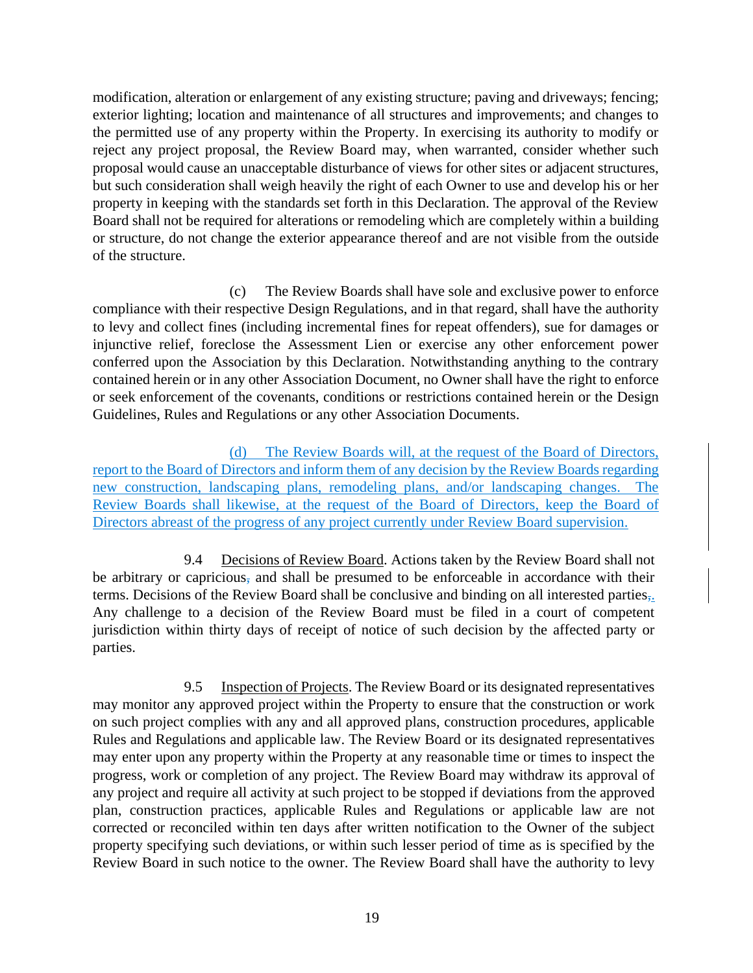modification, alteration or enlargement of any existing structure; paving and driveways; fencing; exterior lighting; location and maintenance of all structures and improvements; and changes to the permitted use of any property within the Property. In exercising its authority to modify or reject any project proposal, the Review Board may, when warranted, consider whether such proposal would cause an unacceptable disturbance of views for other sites or adjacent structures, but such consideration shall weigh heavily the right of each Owner to use and develop his or her property in keeping with the standards set forth in this Declaration. The approval of the Review Board shall not be required for alterations or remodeling which are completely within a building or structure, do not change the exterior appearance thereof and are not visible from the outside of the structure.

(c) The Review Boards shall have sole and exclusive power to enforce compliance with their respective Design Regulations, and in that regard, shall have the authority to levy and collect fines (including incremental fines for repeat offenders), sue for damages or injunctive relief, foreclose the Assessment Lien or exercise any other enforcement power conferred upon the Association by this Declaration. Notwithstanding anything to the contrary contained herein or in any other Association Document, no Owner shall have the right to enforce or seek enforcement of the covenants, conditions or restrictions contained herein or the Design Guidelines, Rules and Regulations or any other Association Documents.

(d) The Review Boards will, at the request of the Board of Directors, report to the Board of Directors and inform them of any decision by the Review Boards regarding new construction, landscaping plans, remodeling plans, and/or landscaping changes. The Review Boards shall likewise, at the request of the Board of Directors, keep the Board of Directors abreast of the progress of any project currently under Review Board supervision.

9.4 Decisions of Review Board. Actions taken by the Review Board shall not be arbitrary or capricious, and shall be presumed to be enforceable in accordance with their terms. Decisions of the Review Board shall be conclusive and binding on all interested parties,. Any challenge to a decision of the Review Board must be filed in a court of competent jurisdiction within thirty days of receipt of notice of such decision by the affected party or parties.

9.5 Inspection of Projects. The Review Board or its designated representatives may monitor any approved project within the Property to ensure that the construction or work on such project complies with any and all approved plans, construction procedures, applicable Rules and Regulations and applicable law. The Review Board or its designated representatives may enter upon any property within the Property at any reasonable time or times to inspect the progress, work or completion of any project. The Review Board may withdraw its approval of any project and require all activity at such project to be stopped if deviations from the approved plan, construction practices, applicable Rules and Regulations or applicable law are not corrected or reconciled within ten days after written notification to the Owner of the subject property specifying such deviations, or within such lesser period of time as is specified by the Review Board in such notice to the owner. The Review Board shall have the authority to levy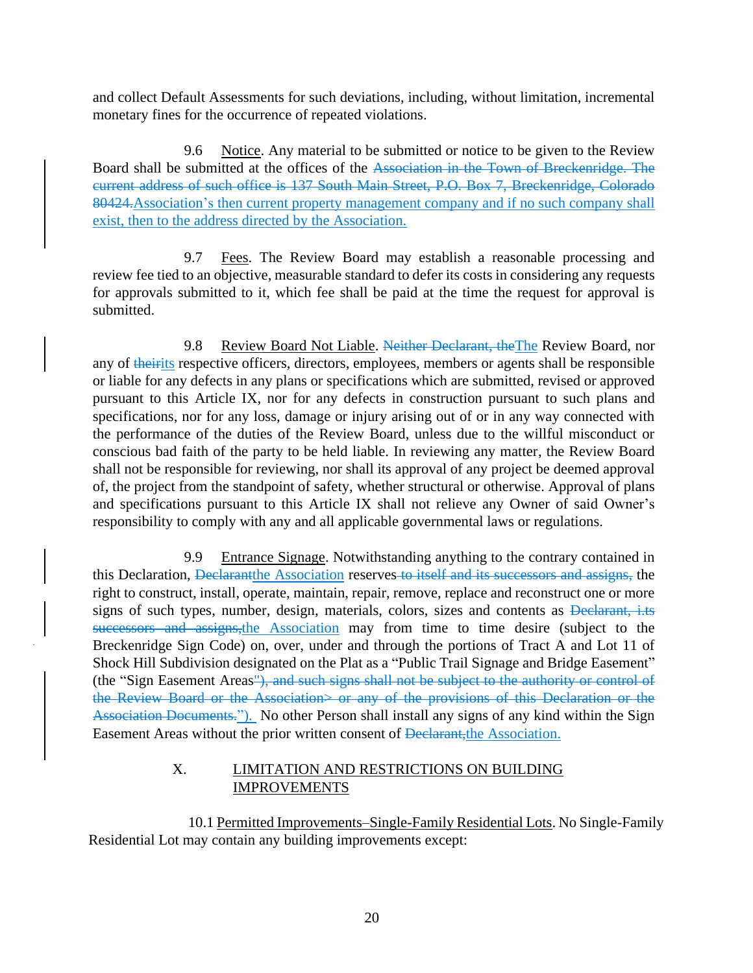and collect Default Assessments for such deviations, including, without limitation, incremental monetary fines for the occurrence of repeated violations.

9.6 Notice. Any material to be submitted or notice to be given to the Review Board shall be submitted at the offices of the Association in the Town of Breckenridge. The current address of such office is 137 South Main Street, P.O. Box 7, Breckenridge, Colorado 80424.Association's then current property management company and if no such company shall exist, then to the address directed by the Association.

9.7 Fees. The Review Board may establish a reasonable processing and review fee tied to an objective, measurable standard to defer its costs in considering any requests for approvals submitted to it, which fee shall be paid at the time the request for approval is submitted.

9.8 Review Board Not Liable. Neither Declarant, the The Review Board, nor any of theirits respective officers, directors, employees, members or agents shall be responsible or liable for any defects in any plans or specifications which are submitted, revised or approved pursuant to this Article IX, nor for any defects in construction pursuant to such plans and specifications, nor for any loss, damage or injury arising out of or in any way connected with the performance of the duties of the Review Board, unless due to the willful misconduct or conscious bad faith of the party to be held liable. In reviewing any matter, the Review Board shall not be responsible for reviewing, nor shall its approval of any project be deemed approval of, the project from the standpoint of safety, whether structural or otherwise. Approval of plans and specifications pursuant to this Article IX shall not relieve any Owner of said Owner's responsibility to comply with any and all applicable governmental laws or regulations.

9.9 Entrance Signage. Notwithstanding anything to the contrary contained in this Declaration, <del>Declarant</del> the Association reserves to itself and its successors and assigns, the right to construct, install, operate, maintain, repair, remove, replace and reconstruct one or more signs of such types, number, design, materials, colors, sizes and contents as Declarant, i.ts successors and assigns, the Association may from time to time desire (subject to the Breckenridge Sign Code) on, over, under and through the portions of Tract A and Lot 11 of Shock Hill Subdivision designated on the Plat as a "Public Trail Signage and Bridge Easement" (the "Sign Easement Areas"), and such signs shall not be subject to the authority or control of the Review Board or the Association> or any of the provisions of this Declaration or the Association Documents."). No other Person shall install any signs of any kind within the Sign Easement Areas without the prior written consent of Declarant, the Association.

## X. LIMITATION AND RESTRICTIONS ON BUILDING IMPROVEMENTS

10.1 Permitted Improvements–Single-Family Residential Lots. No Single-Family Residential Lot may contain any building improvements except: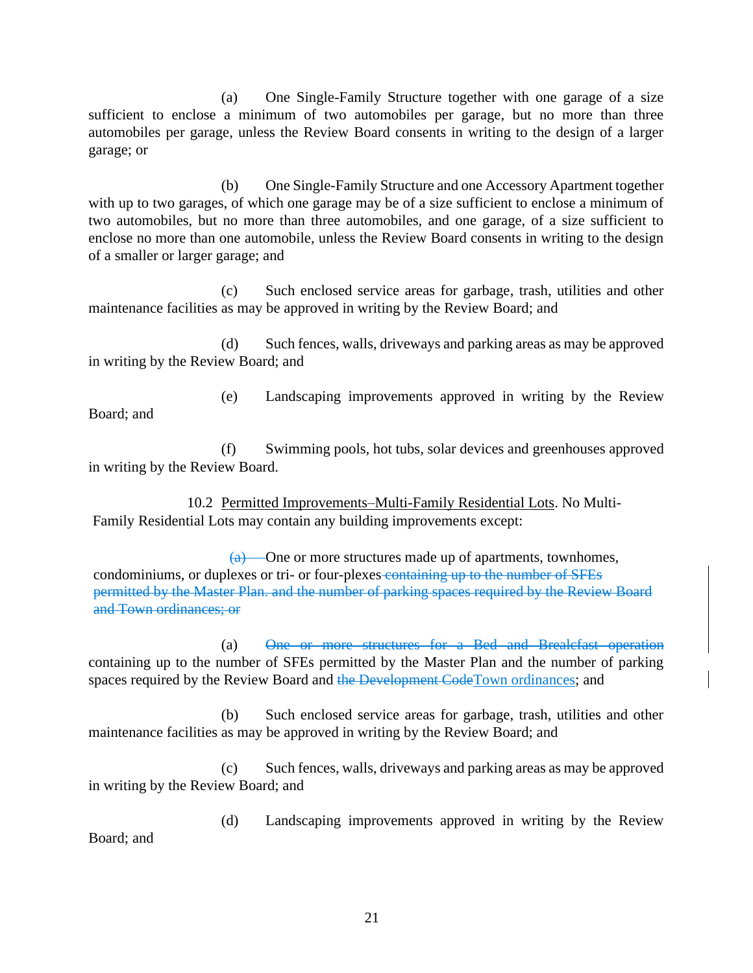(a) One Single-Family Structure together with one garage of a size sufficient to enclose a minimum of two automobiles per garage, but no more than three automobiles per garage, unless the Review Board consents in writing to the design of a larger garage; or

(b) One Single-Family Structure and one Accessory Apartment together with up to two garages, of which one garage may be of a size sufficient to enclose a minimum of two automobiles, but no more than three automobiles, and one garage, of a size sufficient to enclose no more than one automobile, unless the Review Board consents in writing to the design of a smaller or larger garage; and

(c) Such enclosed service areas for garbage, trash, utilities and other maintenance facilities as may be approved in writing by the Review Board; and

(d) Such fences, walls, driveways and parking areas as may be approved in writing by the Review Board; and

(e) Landscaping improvements approved in writing by the Review Board; and

(f) Swimming pools, hot tubs, solar devices and greenhouses approved in writing by the Review Board.

10.2 Permitted Improvements–Multi-Family Residential Lots. No Multi-Family Residential Lots may contain any building improvements except:

 $(a)$  — One or more structures made up of apartments, townhomes, condominiums, or duplexes or tri- or four-plexes containing up to the number of SFEs permitted by the Master Plan. and the number of parking spaces required by the Review Board and Town ordinances; or

(a) One or more structures for a Bed and Brealcfast operation containing up to the number of SFEs permitted by the Master Plan and the number of parking spaces required by the Review Board and the Development CodeTown ordinances; and

(b) Such enclosed service areas for garbage, trash, utilities and other maintenance facilities as may be approved in writing by the Review Board; and

(c) Such fences, walls, driveways and parking areas as may be approved in writing by the Review Board; and

(d) Landscaping improvements approved in writing by the Review Board; and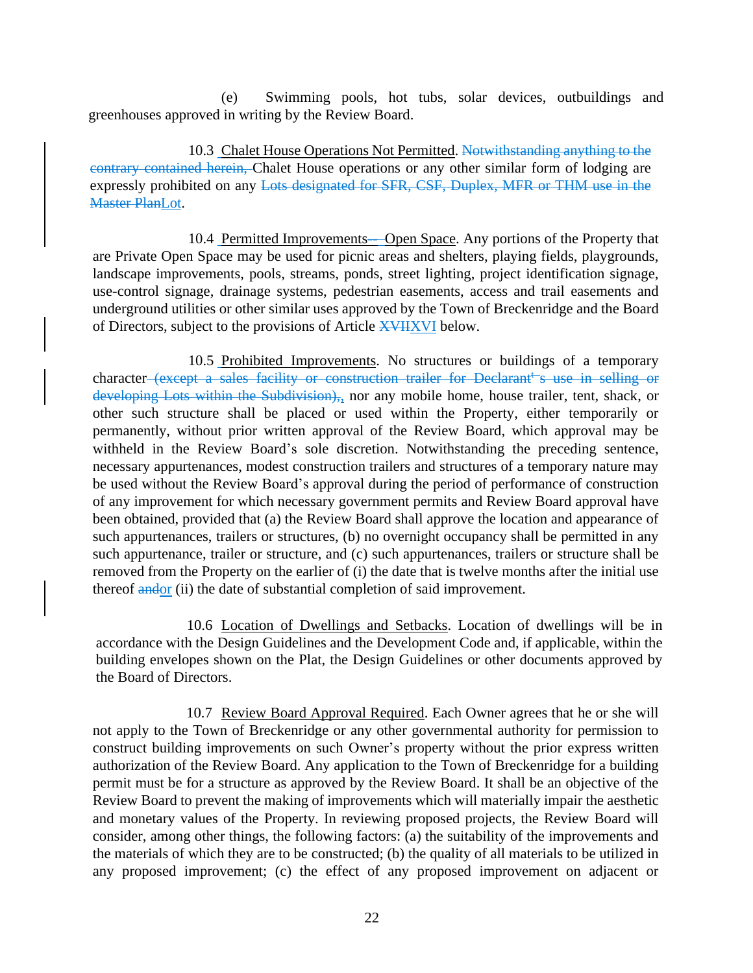(e) Swimming pools, hot tubs, solar devices, outbuildings and greenhouses approved in writing by the Review Board.

10.3 Chalet House Operations Not Permitted. Notwithstanding anything to the contrary contained herein, Chalet House operations or any other similar form of lodging are expressly prohibited on any Lots designated for SFR, CSF, Duplex, MFR or THM use in the **Master PlanLot.** 

10.4 Permitted Improvements—Open Space. Any portions of the Property that are Private Open Space may be used for picnic areas and shelters, playing fields, playgrounds, landscape improvements, pools, streams, ponds, street lighting, project identification signage, use-control signage, drainage systems, pedestrian easements, access and trail easements and underground utilities or other similar uses approved by the Town of Breckenridge and the Board of Directors, subject to the provisions of Article XVIIXVI below.

10.5 Prohibited Improvements. No structures or buildings of a temporary character (except a sales facility or construction trailer for Declarant<sup>t-</sup>s use in selling or developing Lots within the Subdivision),, nor any mobile home, house trailer, tent, shack, or other such structure shall be placed or used within the Property, either temporarily or permanently, without prior written approval of the Review Board, which approval may be withheld in the Review Board's sole discretion. Notwithstanding the preceding sentence, necessary appurtenances, modest construction trailers and structures of a temporary nature may be used without the Review Board's approval during the period of performance of construction of any improvement for which necessary government permits and Review Board approval have been obtained, provided that (a) the Review Board shall approve the location and appearance of such appurtenances, trailers or structures, (b) no overnight occupancy shall be permitted in any such appurtenance, trailer or structure, and (c) such appurtenances, trailers or structure shall be removed from the Property on the earlier of (i) the date that is twelve months after the initial use thereof andor (ii) the date of substantial completion of said improvement.

10.6 Location of Dwellings and Setbacks. Location of dwellings will be in accordance with the Design Guidelines and the Development Code and, if applicable, within the building envelopes shown on the Plat, the Design Guidelines or other documents approved by the Board of Directors.

10.7 Review Board Approval Required. Each Owner agrees that he or she will not apply to the Town of Breckenridge or any other governmental authority for permission to construct building improvements on such Owner's property without the prior express written authorization of the Review Board. Any application to the Town of Breckenridge for a building permit must be for a structure as approved by the Review Board. It shall be an objective of the Review Board to prevent the making of improvements which will materially impair the aesthetic and monetary values of the Property. In reviewing proposed projects, the Review Board will consider, among other things, the following factors: (a) the suitability of the improvements and the materials of which they are to be constructed; (b) the quality of all materials to be utilized in any proposed improvement; (c) the effect of any proposed improvement on adjacent or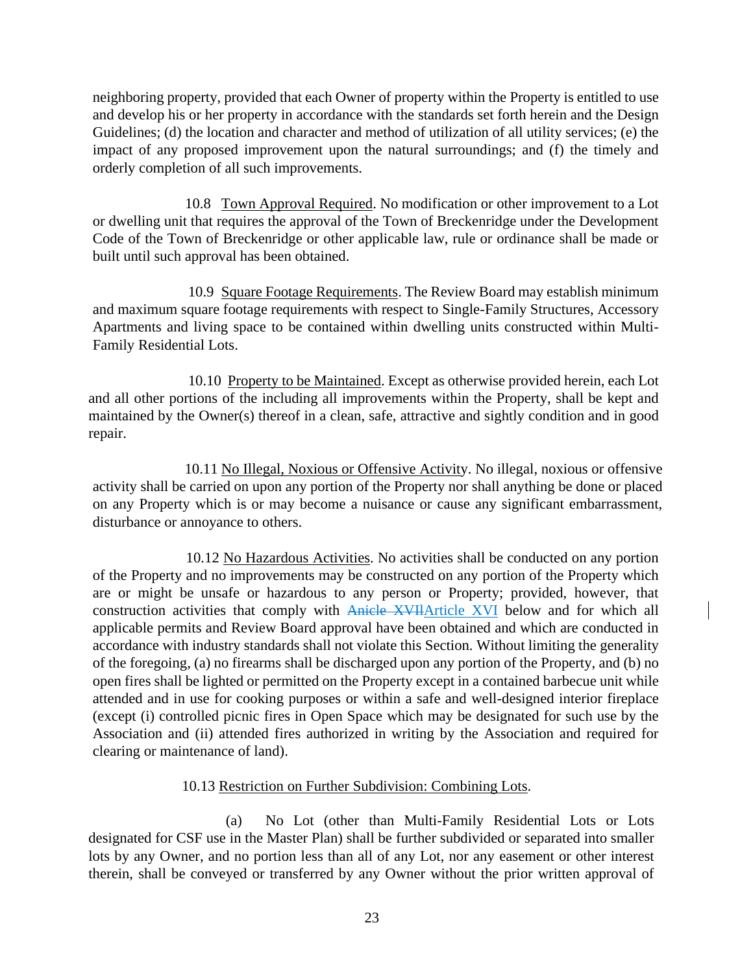neighboring property, provided that each Owner of property within the Property is entitled to use and develop his or her property in accordance with the standards set forth herein and the Design Guidelines; (d) the location and character and method of utilization of all utility services; (e) the impact of any proposed improvement upon the natural surroundings; and (f) the timely and orderly completion of all such improvements.

10.8 Town Approval Required. No modification or other improvement to a Lot or dwelling unit that requires the approval of the Town of Breckenridge under the Development Code of the Town of Breckenridge or other applicable law, rule or ordinance shall be made or built until such approval has been obtained.

10.9 Square Footage Requirements. The Review Board may establish minimum and maximum square footage requirements with respect to Single-Family Structures, Accessory Apartments and living space to be contained within dwelling units constructed within Multi-Family Residential Lots.

10.10 Property to be Maintained. Except as otherwise provided herein, each Lot and all other portions of the including all improvements within the Property, shall be kept and maintained by the Owner(s) thereof in a clean, safe, attractive and sightly condition and in good repair.

10.11 No Illegal, Noxious or Offensive Activity. No illegal, noxious or offensive activity shall be carried on upon any portion of the Property nor shall anything be done or placed on any Property which is or may become a nuisance or cause any significant embarrassment, disturbance or annoyance to others.

10.12 No Hazardous Activities. No activities shall be conducted on any portion of the Property and no improvements may be constructed on any portion of the Property which are or might be unsafe or hazardous to any person or Property; provided, however, that construction activities that comply with Anicle XVIIArticle XVI below and for which all applicable permits and Review Board approval have been obtained and which are conducted in accordance with industry standards shall not violate this Section. Without limiting the generality of the foregoing, (a) no firearms shall be discharged upon any portion of the Property, and (b) no open fires shall be lighted or permitted on the Property except in a contained barbecue unit while attended and in use for cooking purposes or within a safe and well-designed interior fireplace (except (i) controlled picnic fires in Open Space which may be designated for such use by the Association and (ii) attended fires authorized in writing by the Association and required for clearing or maintenance of land).

## 10.13 Restriction on Further Subdivision: Combining Lots.

(a) No Lot (other than Multi-Family Residential Lots or Lots designated for CSF use in the Master Plan) shall be further subdivided or separated into smaller lots by any Owner, and no portion less than all of any Lot, nor any easement or other interest therein, shall be conveyed or transferred by any Owner without the prior written approval of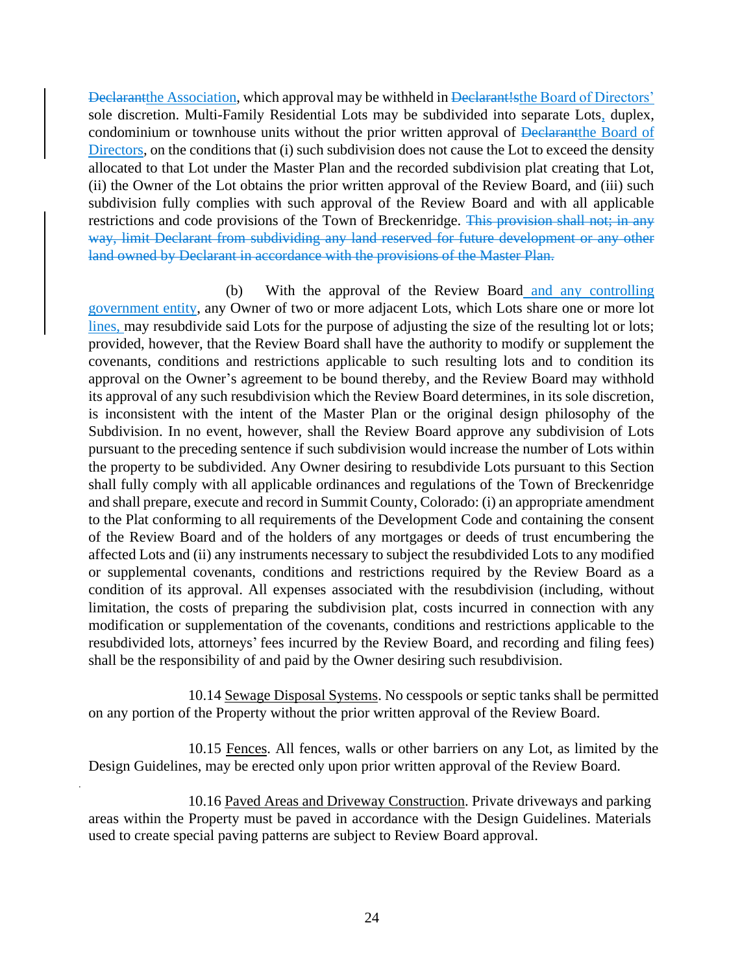Declarantthe Association, which approval may be withheld in Declarant!sthe Board of Directors' sole discretion. Multi-Family Residential Lots may be subdivided into separate Lots, duplex, condominium or townhouse units without the prior written approval of Declarantthe Board of Directors, on the conditions that (i) such subdivision does not cause the Lot to exceed the density allocated to that Lot under the Master Plan and the recorded subdivision plat creating that Lot, (ii) the Owner of the Lot obtains the prior written approval of the Review Board, and (iii) such subdivision fully complies with such approval of the Review Board and with all applicable restrictions and code provisions of the Town of Breckenridge. This provision shall not; in any way, limit Declarant from subdividing any land reserved for future development or any other land owned by Declarant in accordance with the provisions of the Master Plan.

(b) With the approval of the Review Board and any controlling government entity, any Owner of two or more adjacent Lots, which Lots share one or more lot lines, may resubdivide said Lots for the purpose of adjusting the size of the resulting lot or lots; provided, however, that the Review Board shall have the authority to modify or supplement the covenants, conditions and restrictions applicable to such resulting lots and to condition its approval on the Owner's agreement to be bound thereby, and the Review Board may withhold its approval of any such resubdivision which the Review Board determines, in its sole discretion, is inconsistent with the intent of the Master Plan or the original design philosophy of the Subdivision. In no event, however, shall the Review Board approve any subdivision of Lots pursuant to the preceding sentence if such subdivision would increase the number of Lots within the property to be subdivided. Any Owner desiring to resubdivide Lots pursuant to this Section shall fully comply with all applicable ordinances and regulations of the Town of Breckenridge and shall prepare, execute and record in Summit County, Colorado: (i) an appropriate amendment to the Plat conforming to all requirements of the Development Code and containing the consent of the Review Board and of the holders of any mortgages or deeds of trust encumbering the affected Lots and (ii) any instruments necessary to subject the resubdivided Lots to any modified or supplemental covenants, conditions and restrictions required by the Review Board as a condition of its approval. All expenses associated with the resubdivision (including, without limitation, the costs of preparing the subdivision plat, costs incurred in connection with any modification or supplementation of the covenants, conditions and restrictions applicable to the resubdivided lots, attorneys' fees incurred by the Review Board, and recording and filing fees) shall be the responsibility of and paid by the Owner desiring such resubdivision.

10.14 Sewage Disposal Systems. No cesspools or septic tanks shall be permitted on any portion of the Property without the prior written approval of the Review Board.

10.15 Fences. All fences, walls or other barriers on any Lot, as limited by the Design Guidelines, may be erected only upon prior written approval of the Review Board.

10.16 Paved Areas and Driveway Construction. Private driveways and parking areas within the Property must be paved in accordance with the Design Guidelines. Materials used to create special paving patterns are subject to Review Board approval.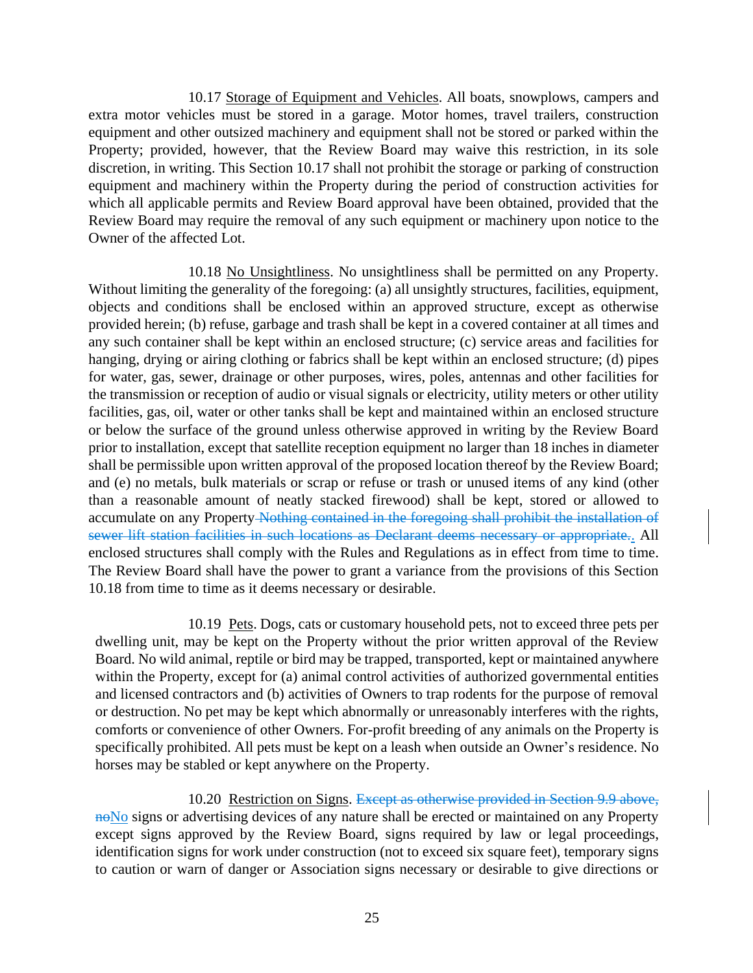10.17 Storage of Equipment and Vehicles. All boats, snowplows, campers and extra motor vehicles must be stored in a garage. Motor homes, travel trailers, construction equipment and other outsized machinery and equipment shall not be stored or parked within the Property; provided, however, that the Review Board may waive this restriction, in its sole discretion, in writing. This Section 10.17 shall not prohibit the storage or parking of construction equipment and machinery within the Property during the period of construction activities for which all applicable permits and Review Board approval have been obtained, provided that the Review Board may require the removal of any such equipment or machinery upon notice to the Owner of the affected Lot.

10.18 No Unsightliness. No unsightliness shall be permitted on any Property. Without limiting the generality of the foregoing: (a) all unsightly structures, facilities, equipment, objects and conditions shall be enclosed within an approved structure, except as otherwise provided herein; (b) refuse, garbage and trash shall be kept in a covered container at all times and any such container shall be kept within an enclosed structure; (c) service areas and facilities for hanging, drying or airing clothing or fabrics shall be kept within an enclosed structure; (d) pipes for water, gas, sewer, drainage or other purposes, wires, poles, antennas and other facilities for the transmission or reception of audio or visual signals or electricity, utility meters or other utility facilities, gas, oil, water or other tanks shall be kept and maintained within an enclosed structure or below the surface of the ground unless otherwise approved in writing by the Review Board prior to installation, except that satellite reception equipment no larger than 18 inches in diameter shall be permissible upon written approval of the proposed location thereof by the Review Board; and (e) no metals, bulk materials or scrap or refuse or trash or unused items of any kind (other than a reasonable amount of neatly stacked firewood) shall be kept, stored or allowed to accumulate on any Property Nothing contained in the foregoing shall prohibit the installation of sewer lift station facilities in such locations as Declarant deems necessary or appropriate.. All enclosed structures shall comply with the Rules and Regulations as in effect from time to time. The Review Board shall have the power to grant a variance from the provisions of this Section 10.18 from time to time as it deems necessary or desirable.

10.19 Pets. Dogs, cats or customary household pets, not to exceed three pets per dwelling unit, may be kept on the Property without the prior written approval of the Review Board. No wild animal, reptile or bird may be trapped, transported, kept or maintained anywhere within the Property, except for (a) animal control activities of authorized governmental entities and licensed contractors and (b) activities of Owners to trap rodents for the purpose of removal or destruction. No pet may be kept which abnormally or unreasonably interferes with the rights, comforts or convenience of other Owners. For-profit breeding of any animals on the Property is specifically prohibited. All pets must be kept on a leash when outside an Owner's residence. No horses may be stabled or kept anywhere on the Property.

10.20 Restriction on Signs. Except as otherwise provided in Section 9.9 above, no signs or advertising devices of any nature shall be erected or maintained on any Property except signs approved by the Review Board, signs required by law or legal proceedings, identification signs for work under construction (not to exceed six square feet), temporary signs to caution or warn of danger or Association signs necessary or desirable to give directions or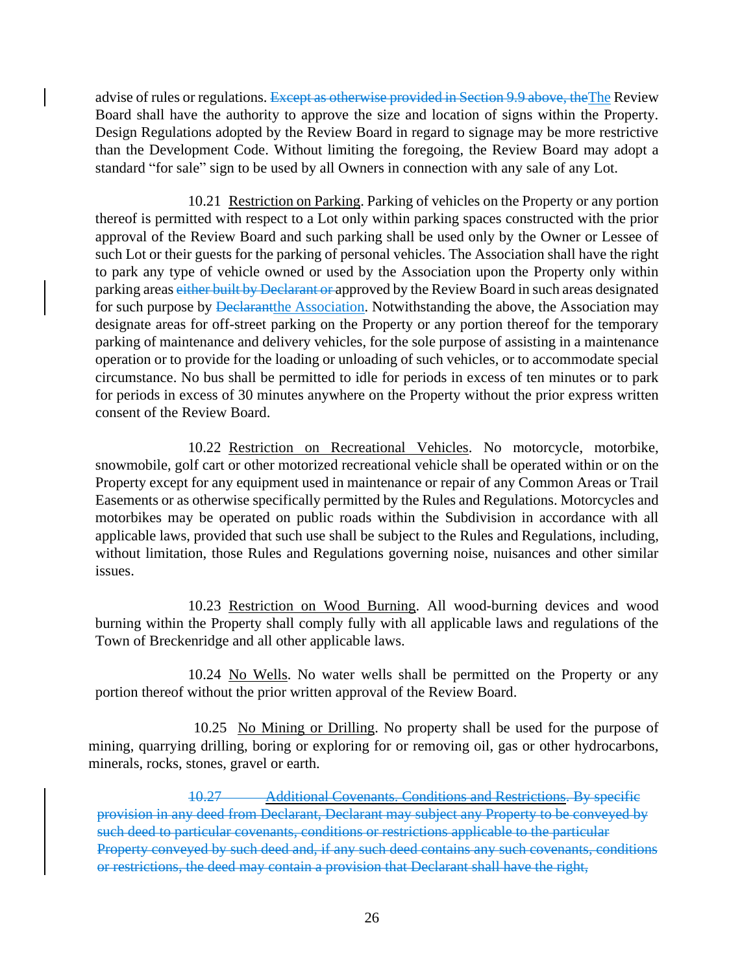advise of rules or regulations. Except as otherwise provided in Section 9.9 above, the The Review Board shall have the authority to approve the size and location of signs within the Property. Design Regulations adopted by the Review Board in regard to signage may be more restrictive than the Development Code. Without limiting the foregoing, the Review Board may adopt a standard "for sale" sign to be used by all Owners in connection with any sale of any Lot.

10.21 Restriction on Parking. Parking of vehicles on the Property or any portion thereof is permitted with respect to a Lot only within parking spaces constructed with the prior approval of the Review Board and such parking shall be used only by the Owner or Lessee of such Lot or their guests for the parking of personal vehicles. The Association shall have the right to park any type of vehicle owned or used by the Association upon the Property only within parking areas either built by Declarant or approved by the Review Board in such areas designated for such purpose by <del>Declarant</del>the Association. Notwithstanding the above, the Association may designate areas for off-street parking on the Property or any portion thereof for the temporary parking of maintenance and delivery vehicles, for the sole purpose of assisting in a maintenance operation or to provide for the loading or unloading of such vehicles, or to accommodate special circumstance. No bus shall be permitted to idle for periods in excess of ten minutes or to park for periods in excess of 30 minutes anywhere on the Property without the prior express written consent of the Review Board.

10.22 Restriction on Recreational Vehicles. No motorcycle, motorbike, snowmobile, golf cart or other motorized recreational vehicle shall be operated within or on the Property except for any equipment used in maintenance or repair of any Common Areas or Trail Easements or as otherwise specifically permitted by the Rules and Regulations. Motorcycles and motorbikes may be operated on public roads within the Subdivision in accordance with all applicable laws, provided that such use shall be subject to the Rules and Regulations, including, without limitation, those Rules and Regulations governing noise, nuisances and other similar issues.

10.23 Restriction on Wood Burning. All wood-burning devices and wood burning within the Property shall comply fully with all applicable laws and regulations of the Town of Breckenridge and all other applicable laws.

10.24 No Wells. No water wells shall be permitted on the Property or any portion thereof without the prior written approval of the Review Board.

10.25 No Mining or Drilling. No property shall be used for the purpose of mining, quarrying drilling, boring or exploring for or removing oil, gas or other hydrocarbons, minerals, rocks, stones, gravel or earth.

10.27 Additional Covenants. Conditions and Restrictions. By specific provision in any deed from Declarant, Declarant may subject any Property to be conveyed by such deed to particular covenants, conditions or restrictions applicable to the particular Property conveyed by such deed and, if any such deed contains any such covenants, conditions or restrictions, the deed may contain a provision that Declarant shall have the right,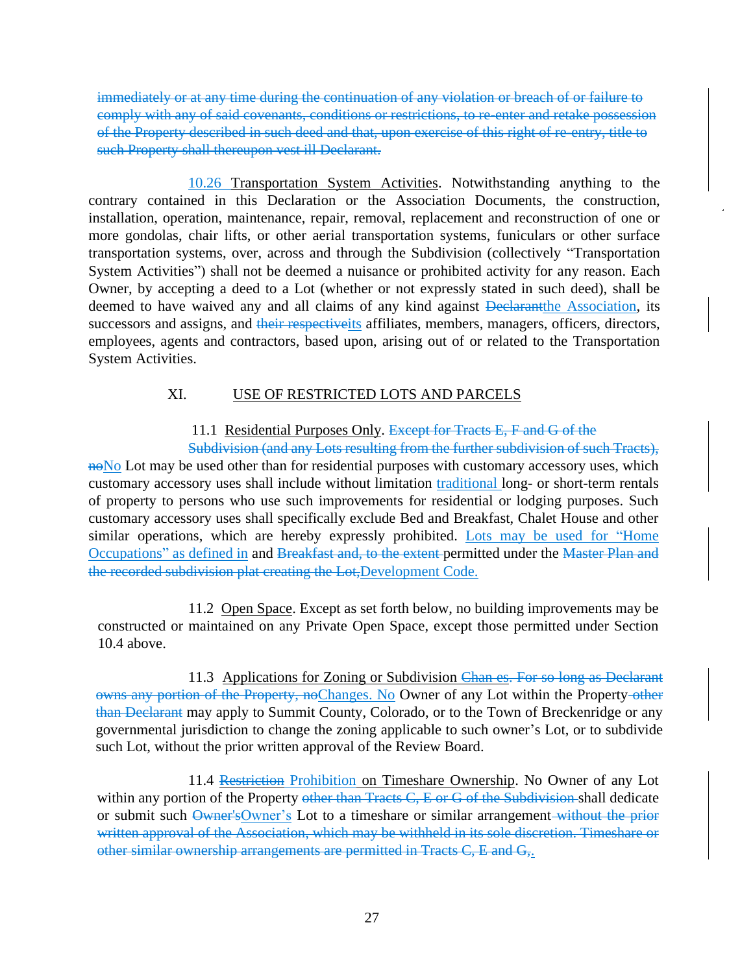immediately or at any time during the continuation of any violation or breach of or failure to comply with any of said covenants, conditions or restrictions, to re-enter and retake possession of the Property described in such deed and that, upon exercise of this right of re-entry, title to such Property shall thereupon vest ill Declarant.

10.26 Transportation System Activities. Notwithstanding anything to the contrary contained in this Declaration or the Association Documents, the construction, installation, operation, maintenance, repair, removal, replacement and reconstruction of one or more gondolas, chair lifts, or other aerial transportation systems, funiculars or other surface transportation systems, over, across and through the Subdivision (collectively "Transportation System Activities") shall not be deemed a nuisance or prohibited activity for any reason. Each Owner, by accepting a deed to a Lot (whether or not expressly stated in such deed), shall be deemed to have waived any and all claims of any kind against **Declarantially** Association, its successors and assigns, and their respectiveits affiliates, members, managers, officers, directors, employees, agents and contractors, based upon, arising out of or related to the Transportation System Activities.

# XI. USE OF RESTRICTED LOTS AND PARCELS

# 11.1 Residential Purposes Only. Except for Tracts E, F and G of the

Subdivision (and any Lots resulting from the further subdivision of such Tracts), noNo Lot may be used other than for residential purposes with customary accessory uses, which customary accessory uses shall include without limitation traditional long- or short-term rentals of property to persons who use such improvements for residential or lodging purposes. Such customary accessory uses shall specifically exclude Bed and Breakfast, Chalet House and other similar operations, which are hereby expressly prohibited. Lots may be used for "Home Occupations" as defined in and Breakfast and, to the extent permitted under the Master Plan and the recorded subdivision plat creating the Lot,Development Code.

11.2 Open Space. Except as set forth below, no building improvements may be constructed or maintained on any Private Open Space, except those permitted under Section 10.4 above.

11.3 Applications for Zoning or Subdivision Chan es. For so long as Declarant owns any portion of the Property, noChanges. No Owner of any Lot within the Property-other than Declarant may apply to Summit County, Colorado, or to the Town of Breckenridge or any governmental jurisdiction to change the zoning applicable to such owner's Lot, or to subdivide such Lot, without the prior written approval of the Review Board.

11.4 Restriction Prohibition on Timeshare Ownership. No Owner of any Lot within any portion of the Property other than Tracts C, E or G of the Subdivision shall dedicate or submit such Owner'sOwner's Lot to a timeshare or similar arrangement-without the prior written approval of the Association, which may be withheld in its sole discretion. Timeshare or other similar ownership arrangements are permitted in Tracts C, E and G,.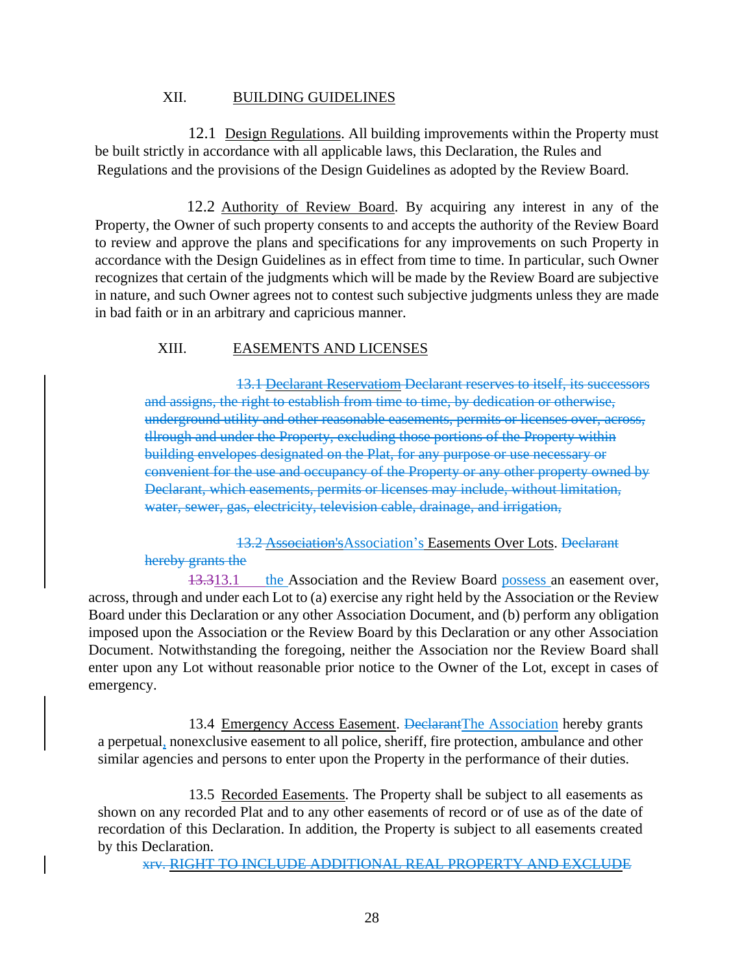#### XII. BUILDING GUIDELINES

12.1 Design Regulations. All building improvements within the Property must be built strictly in accordance with all applicable laws, this Declaration, the Rules and Regulations and the provisions of the Design Guidelines as adopted by the Review Board.

12.2 Authority of Review Board. By acquiring any interest in any of the Property, the Owner of such property consents to and accepts the authority of the Review Board to review and approve the plans and specifications for any improvements on such Property in accordance with the Design Guidelines as in effect from time to time. In particular, such Owner recognizes that certain of the judgments which will be made by the Review Board are subjective in nature, and such Owner agrees not to contest such subjective judgments unless they are made in bad faith or in an arbitrary and capricious manner.

#### XIII. EASEMENTS AND LICENSES

13.1 Declarant Reservatiom Declarant reserves to itself, its successors and assigns, the right to establish from time to time, by dedication or otherwise, underground utility and other reasonable easements, permits or licenses over, across, tllrough and under the Property, excluding those portions of the Property within building envelopes designated on the Plat, for any purpose or use necessary or convenient for the use and occupancy of the Property or any other property owned by Declarant, which easements, permits or licenses may include, without limitation, water, sewer, gas, electricity, television cable, drainage, and irrigation,

13.2 Association'sAssociation's Easements Over Lots. Declarant hereby grants the

13.313.1 the Association and the Review Board possess an easement over, across, through and under each Lot to (a) exercise any right held by the Association or the Review Board under this Declaration or any other Association Document, and (b) perform any obligation imposed upon the Association or the Review Board by this Declaration or any other Association Document. Notwithstanding the foregoing, neither the Association nor the Review Board shall enter upon any Lot without reasonable prior notice to the Owner of the Lot, except in cases of emergency.

13.4 Emergency Access Easement. DeclarantThe Association hereby grants a perpetual, nonexclusive easement to all police, sheriff, fire protection, ambulance and other similar agencies and persons to enter upon the Property in the performance of their duties.

13.5 Recorded Easements. The Property shall be subject to all easements as shown on any recorded Plat and to any other easements of record or of use as of the date of recordation of this Declaration. In addition, the Property is subject to all easements created by this Declaration.

xrv. RIGHT TO INCLUDE ADDITIONAL REAL PROPERTY AND EXCLUDE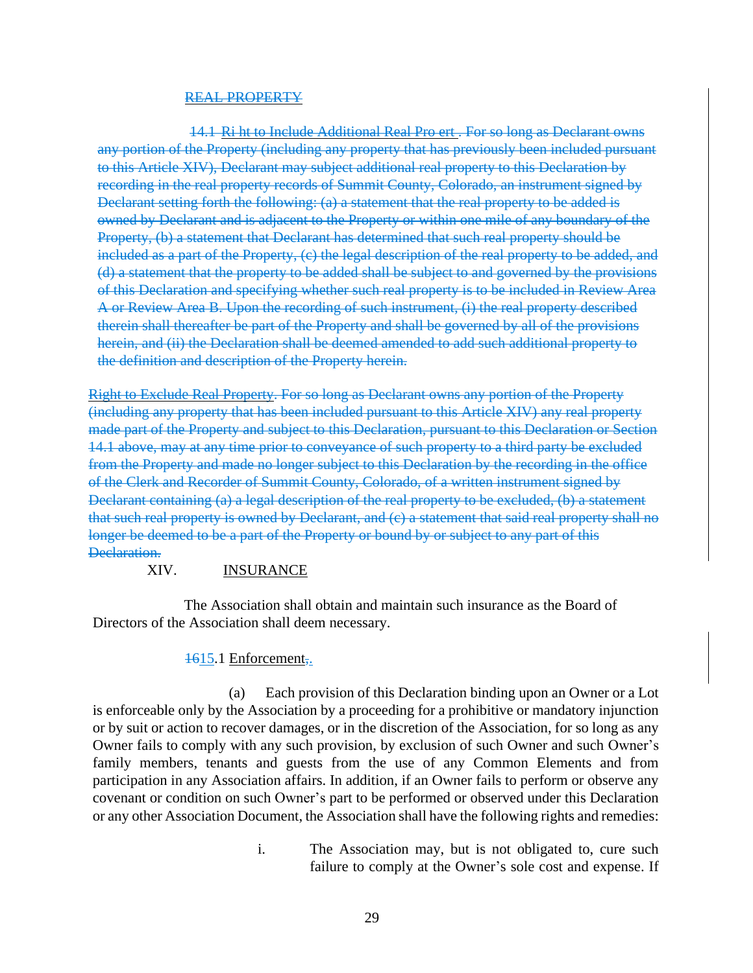#### REAL PROPERTY

14.1 Ri ht to Include Additional Real Pro ert . For so long as Declarant owns any portion of the Property (including any property that has previously been included pursuant to this Article XIV), Declarant may subject additional real property to this Declaration by recording in the real property records of Summit County, Colorado, an instrument signed by Declarant setting forth the following: (a) a statement that the real property to be added is owned by Declarant and is adjacent to the Property or within one mile of any boundary of the Property, (b) a statement that Declarant has determined that such real property should be included as a part of the Property, (c) the legal description of the real property to be added, and (d) a statement that the property to be added shall be subject to and governed by the provisions of this Declaration and specifying whether such real property is to be included in Review Area A or Review Area B. Upon the recording of such instrument, (i) the real property described therein shall thereafter be part of the Property and shall be governed by all of the provisions herein, and (ii) the Declaration shall be deemed amended to add such additional property to the definition and description of the Property herein.

Right to Exclude Real Property. For so long as Declarant owns any portion of the Property (including any property that has been included pursuant to this Article XIV) any real property made part of the Property and subject to this Declaration, pursuant to this Declaration or Section 14.1 above, may at any time prior to conveyance of such property to a third party be excluded from the Property and made no longer subject to this Declaration by the recording in the office of the Clerk and Recorder of Summit County, Colorado, of a written instrument signed by Declarant containing (a) a legal description of the real property to be excluded, (b) a statement that such real property is owned by Declarant, and (c) a statement that said real property shall no longer be deemed to be a part of the Property or bound by or subject to any part of this Declaration.

### XIV. INSURANCE

The Association shall obtain and maintain such insurance as the Board of Directors of the Association shall deem necessary.

### 1615.1 Enforcement,.

(a) Each provision of this Declaration binding upon an Owner or a Lot is enforceable only by the Association by a proceeding for a prohibitive or mandatory injunction or by suit or action to recover damages, or in the discretion of the Association, for so long as any Owner fails to comply with any such provision, by exclusion of such Owner and such Owner's family members, tenants and guests from the use of any Common Elements and from participation in any Association affairs. In addition, if an Owner fails to perform or observe any covenant or condition on such Owner's part to be performed or observed under this Declaration or any other Association Document, the Association shall have the following rights and remedies:

> i. The Association may, but is not obligated to, cure such failure to comply at the Owner's sole cost and expense. If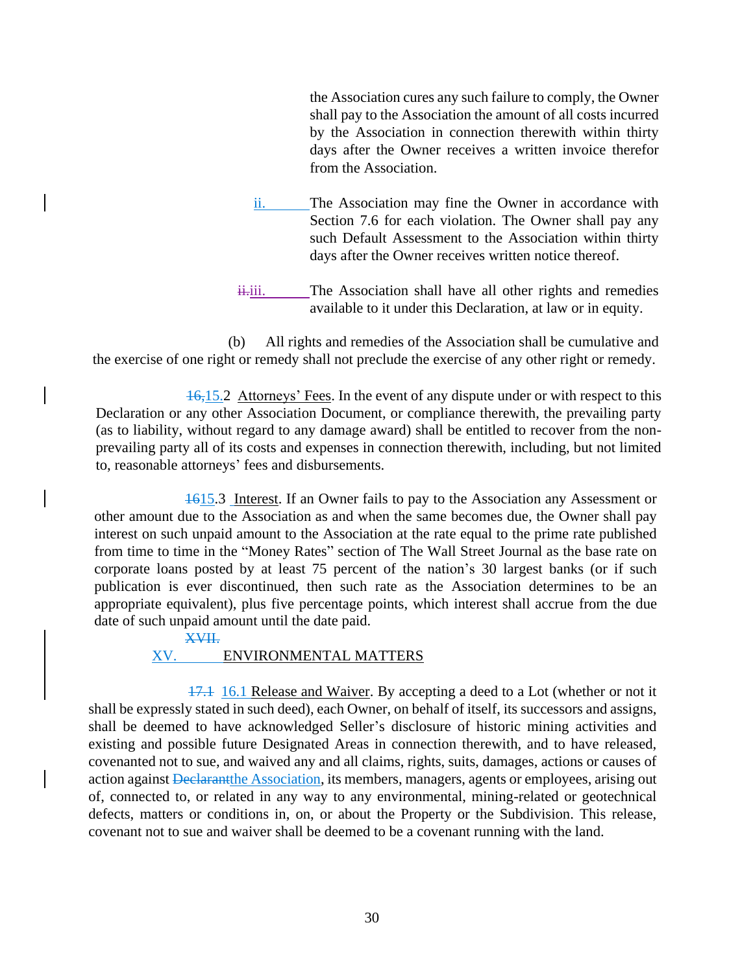the Association cures any such failure to comply, the Owner shall pay to the Association the amount of all costs incurred by the Association in connection therewith within thirty days after the Owner receives a written invoice therefor from the Association.

- ii. The Association may fine the Owner in accordance with Section 7.6 for each violation. The Owner shall pay any such Default Assessment to the Association within thirty days after the Owner receives written notice thereof.
- $\ddot{\text{u}}$ . The Association shall have all other rights and remedies available to it under this Declaration, at law or in equity.

(b) All rights and remedies of the Association shall be cumulative and the exercise of one right or remedy shall not preclude the exercise of any other right or remedy.

16,15.2 Attorneys' Fees. In the event of any dispute under or with respect to this Declaration or any other Association Document, or compliance therewith, the prevailing party (as to liability, without regard to any damage award) shall be entitled to recover from the nonprevailing party all of its costs and expenses in connection therewith, including, but not limited to, reasonable attorneys' fees and disbursements.

1615.3 Interest. If an Owner fails to pay to the Association any Assessment or other amount due to the Association as and when the same becomes due, the Owner shall pay interest on such unpaid amount to the Association at the rate equal to the prime rate published from time to time in the "Money Rates" section of The Wall Street Journal as the base rate on corporate loans posted by at least 75 percent of the nation's 30 largest banks (or if such publication is ever discontinued, then such rate as the Association determines to be an appropriate equivalent), plus five percentage points, which interest shall accrue from the due date of such unpaid amount until the date paid.

XVII.

#### XV. ENVIRONMENTAL MATTERS

17.1 16.1 Release and Waiver. By accepting a deed to a Lot (whether or not it shall be expressly stated in such deed), each Owner, on behalf of itself, its successors and assigns, shall be deemed to have acknowledged Seller's disclosure of historic mining activities and existing and possible future Designated Areas in connection therewith, and to have released, covenanted not to sue, and waived any and all claims, rights, suits, damages, actions or causes of action against Declarant the Association, its members, managers, agents or employees, arising out of, connected to, or related in any way to any environmental, mining-related or geotechnical defects, matters or conditions in, on, or about the Property or the Subdivision. This release, covenant not to sue and waiver shall be deemed to be a covenant running with the land.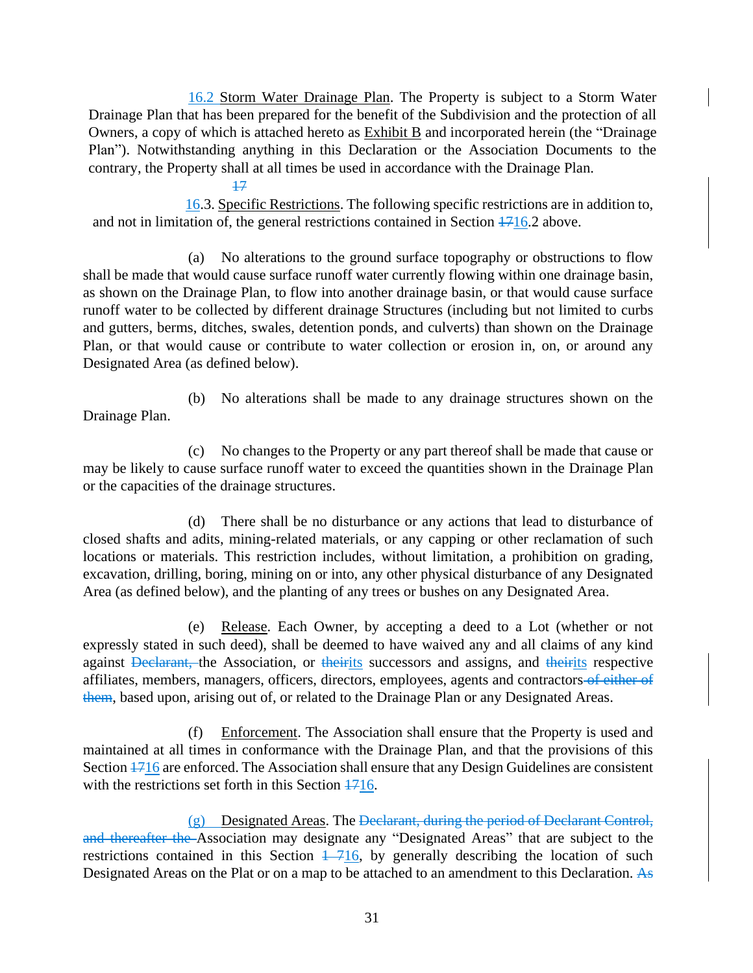16.2 Storm Water Drainage Plan. The Property is subject to a Storm Water Drainage Plan that has been prepared for the benefit of the Subdivision and the protection of all Owners, a copy of which is attached hereto as Exhibit B and incorporated herein (the "Drainage Plan"). Notwithstanding anything in this Declaration or the Association Documents to the contrary, the Property shall at all times be used in accordance with the Drainage Plan.

16.3. Specific Restrictions. The following specific restrictions are in addition to, and not in limitation of, the general restrictions contained in Section  $\frac{1716}{2}$  above.

17

(a) No alterations to the ground surface topography or obstructions to flow shall be made that would cause surface runoff water currently flowing within one drainage basin, as shown on the Drainage Plan, to flow into another drainage basin, or that would cause surface runoff water to be collected by different drainage Structures (including but not limited to curbs and gutters, berms, ditches, swales, detention ponds, and culverts) than shown on the Drainage Plan, or that would cause or contribute to water collection or erosion in, on, or around any Designated Area (as defined below).

(b) No alterations shall be made to any drainage structures shown on the Drainage Plan.

(c) No changes to the Property or any part thereof shall be made that cause or may be likely to cause surface runoff water to exceed the quantities shown in the Drainage Plan or the capacities of the drainage structures.

(d) There shall be no disturbance or any actions that lead to disturbance of closed shafts and adits, mining-related materials, or any capping or other reclamation of such locations or materials. This restriction includes, without limitation, a prohibition on grading, excavation, drilling, boring, mining on or into, any other physical disturbance of any Designated Area (as defined below), and the planting of any trees or bushes on any Designated Area.

(e) Release. Each Owner, by accepting a deed to a Lot (whether or not expressly stated in such deed), shall be deemed to have waived any and all claims of any kind against Declarant, the Association, or theirits successors and assigns, and theirits respective affiliates, members, managers, officers, directors, employees, agents and contractors of either of them, based upon, arising out of, or related to the Drainage Plan or any Designated Areas.

(f) Enforcement. The Association shall ensure that the Property is used and maintained at all times in conformance with the Drainage Plan, and that the provisions of this Section  $1716$  are enforced. The Association shall ensure that any Design Guidelines are consistent with the restrictions set forth in this Section  $\frac{1716}{17}$ .

(g) Designated Areas. The Declarant, during the period of Declarant Control, and thereafter the Association may designate any "Designated Areas" that are subject to the restrictions contained in this Section  $\frac{1}{10}$ , by generally describing the location of such Designated Areas on the Plat or on a map to be attached to an amendment to this Declaration. As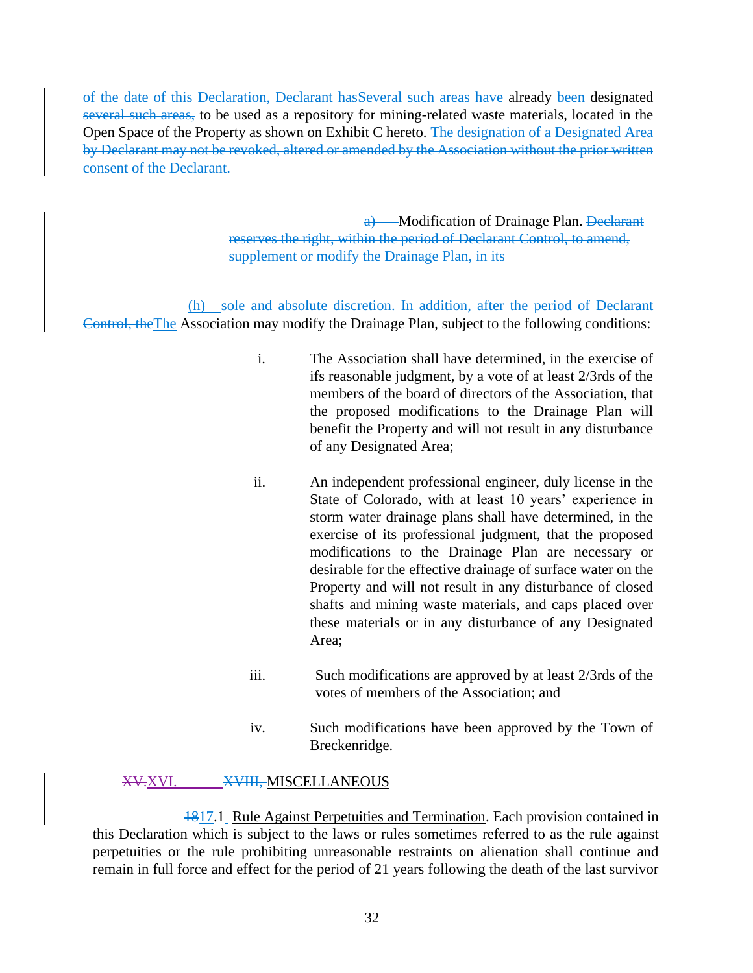of the date of this Declaration, Declarant hasSeveral such areas have already been designated several such areas, to be used as a repository for mining-related waste materials, located in the Open Space of the Property as shown on Exhibit C hereto. The designation of a Designated Area by Declarant may not be revoked, altered or amended by the Association without the prior written consent of the Declarant.

> a) Modification of Drainage Plan. Declarant reserves the right, within the period of Declarant Control, to amend, supplement or modify the Drainage Plan, in its

(h) sole and absolute discretion. In addition, after the period of Declarant Control, theThe Association may modify the Drainage Plan, subject to the following conditions:

- i. The Association shall have determined, in the exercise of ifs reasonable judgment, by a vote of at least 2/3rds of the members of the board of directors of the Association, that the proposed modifications to the Drainage Plan will benefit the Property and will not result in any disturbance of any Designated Area;
- ii. An independent professional engineer, duly license in the State of Colorado, with at least 10 years' experience in storm water drainage plans shall have determined, in the exercise of its professional judgment, that the proposed modifications to the Drainage Plan are necessary or desirable for the effective drainage of surface water on the Property and will not result in any disturbance of closed shafts and mining waste materials, and caps placed over these materials or in any disturbance of any Designated Area;
- iii. Such modifications are approved by at least 2/3rds of the votes of members of the Association; and
- iv. Such modifications have been approved by the Town of Breckenridge.

## XV.XVI. XVIII, MISCELLANEOUS

1817.1 Rule Against Perpetuities and Termination. Each provision contained in this Declaration which is subject to the laws or rules sometimes referred to as the rule against perpetuities or the rule prohibiting unreasonable restraints on alienation shall continue and remain in full force and effect for the period of 21 years following the death of the last survivor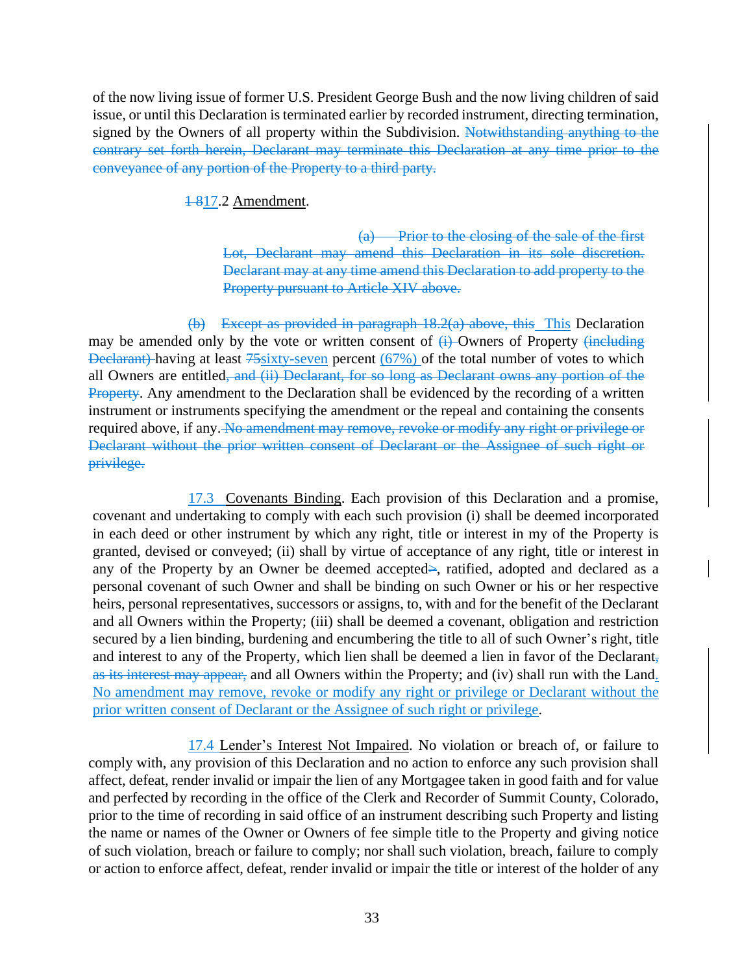of the now living issue of former U.S. President George Bush and the now living children of said issue, or until this Declaration is terminated earlier by recorded instrument, directing termination, signed by the Owners of all property within the Subdivision. Notwithstanding anything to the contrary set forth herein, Declarant may terminate this Declaration at any time prior to the conveyance of any portion of the Property to a third party.

1-817.2 Amendment.

(a) Prior to the closing of the sale of the first Lot, Declarant may amend this Declaration in its sole discretion. Declarant may at any time amend this Declaration to add property to the Property pursuant to Article XIV above.

(b) Except as provided in paragraph 18.2(a) above, this This Declaration may be amended only by the vote or written consent of  $\overrightarrow{H}$  Owners of Property  $\overrightarrow{H}$ Declarant) having at least 75sixty-seven percent (67%) of the total number of votes to which all Owners are entitled<del>, and (ii) Declarant, for so long as Declarant owns any portion of the</del> Property. Any amendment to the Declaration shall be evidenced by the recording of a written instrument or instruments specifying the amendment or the repeal and containing the consents required above, if any. No amendment may remove, revoke or modify any right or privilege or Declarant without the prior written consent of Declarant or the Assignee of such right or privilege.

17.3 Covenants Binding. Each provision of this Declaration and a promise, covenant and undertaking to comply with each such provision (i) shall be deemed incorporated in each deed or other instrument by which any right, title or interest in my of the Property is granted, devised or conveyed; (ii) shall by virtue of acceptance of any right, title or interest in any of the Property by an Owner be deemed accepted>, ratified, adopted and declared as a personal covenant of such Owner and shall be binding on such Owner or his or her respective heirs, personal representatives, successors or assigns, to, with and for the benefit of the Declarant and all Owners within the Property; (iii) shall be deemed a covenant, obligation and restriction secured by a lien binding, burdening and encumbering the title to all of such Owner's right, title and interest to any of the Property, which lien shall be deemed a lien in favor of the Declarant, as its interest may appear, and all Owners within the Property; and (iv) shall run with the Land. No amendment may remove, revoke or modify any right or privilege or Declarant without the prior written consent of Declarant or the Assignee of such right or privilege.

17.4 Lender's Interest Not Impaired. No violation or breach of, or failure to comply with, any provision of this Declaration and no action to enforce any such provision shall affect, defeat, render invalid or impair the lien of any Mortgagee taken in good faith and for value and perfected by recording in the office of the Clerk and Recorder of Summit County, Colorado, prior to the time of recording in said office of an instrument describing such Property and listing the name or names of the Owner or Owners of fee simple title to the Property and giving notice of such violation, breach or failure to comply; nor shall such violation, breach, failure to comply or action to enforce affect, defeat, render invalid or impair the title or interest of the holder of any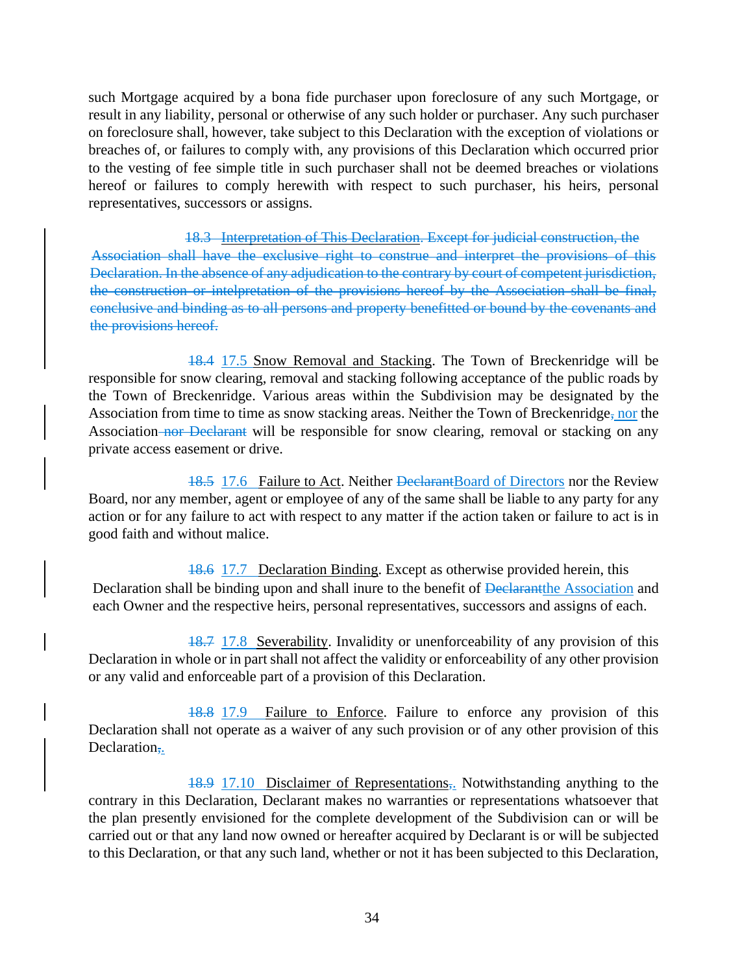such Mortgage acquired by a bona fide purchaser upon foreclosure of any such Mortgage, or result in any liability, personal or otherwise of any such holder or purchaser. Any such purchaser on foreclosure shall, however, take subject to this Declaration with the exception of violations or breaches of, or failures to comply with, any provisions of this Declaration which occurred prior to the vesting of fee simple title in such purchaser shall not be deemed breaches or violations hereof or failures to comply herewith with respect to such purchaser, his heirs, personal representatives, successors or assigns.

18.3 Interpretation of This Declaration. Except for judicial construction, the Association shall have the exclusive right to construe and interpret the provisions of this Declaration. In the absence of any adjudication to the contrary by court of competent jurisdiction, the construction or intelpretation of the provisions hereof by the Association shall be final, conclusive and binding as to all persons and property benefitted or bound by the covenants and the provisions hereof.

18.4 17.5 Snow Removal and Stacking. The Town of Breckenridge will be responsible for snow clearing, removal and stacking following acceptance of the public roads by the Town of Breckenridge. Various areas within the Subdivision may be designated by the Association from time to time as snow stacking areas. Neither the Town of Breckenridge, nor the Association nor Declarant will be responsible for snow clearing, removal or stacking on any private access easement or drive.

18.5 17.6 Failure to Act. Neither DeclarantBoard of Directors nor the Review Board, nor any member, agent or employee of any of the same shall be liable to any party for any action or for any failure to act with respect to any matter if the action taken or failure to act is in good faith and without malice.

18.6 17.7 Declaration Binding. Except as otherwise provided herein, this Declaration shall be binding upon and shall inure to the benefit of <del>Declarant</del>the Association and each Owner and the respective heirs, personal representatives, successors and assigns of each.

18.7 17.8 Severability. Invalidity or unenforceability of any provision of this Declaration in whole or in part shall not affect the validity or enforceability of any other provision or any valid and enforceable part of a provision of this Declaration.

18.8 17.9 Failure to Enforce. Failure to enforce any provision of this Declaration shall not operate as a waiver of any such provision or of any other provision of this Declaration<sub>7</sub>.

18.9 17.10 Disclaimer of Representations<sub>5</sub>. Notwithstanding anything to the contrary in this Declaration, Declarant makes no warranties or representations whatsoever that the plan presently envisioned for the complete development of the Subdivision can or will be carried out or that any land now owned or hereafter acquired by Declarant is or will be subjected to this Declaration, or that any such land, whether or not it has been subjected to this Declaration,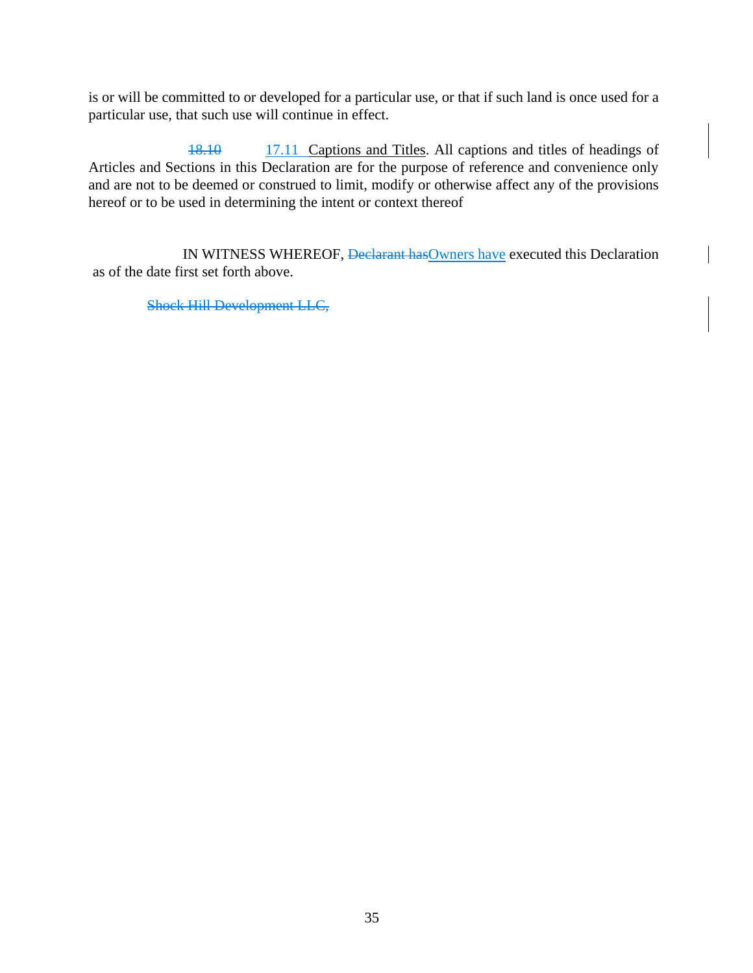is or will be committed to or developed for a particular use, or that if such land is once used for a particular use, that such use will continue in effect.

18.10 17.11 Captions and Titles. All captions and titles of headings of Articles and Sections in this Declaration are for the purpose of reference and convenience only and are not to be deemed or construed to limit, modify or otherwise affect any of the provisions hereof or to be used in determining the intent or context thereof

IN WITNESS WHEREOF, Declarant has Owners have executed this Declaration as of the date first set forth above.

Shock Hill Development LLC,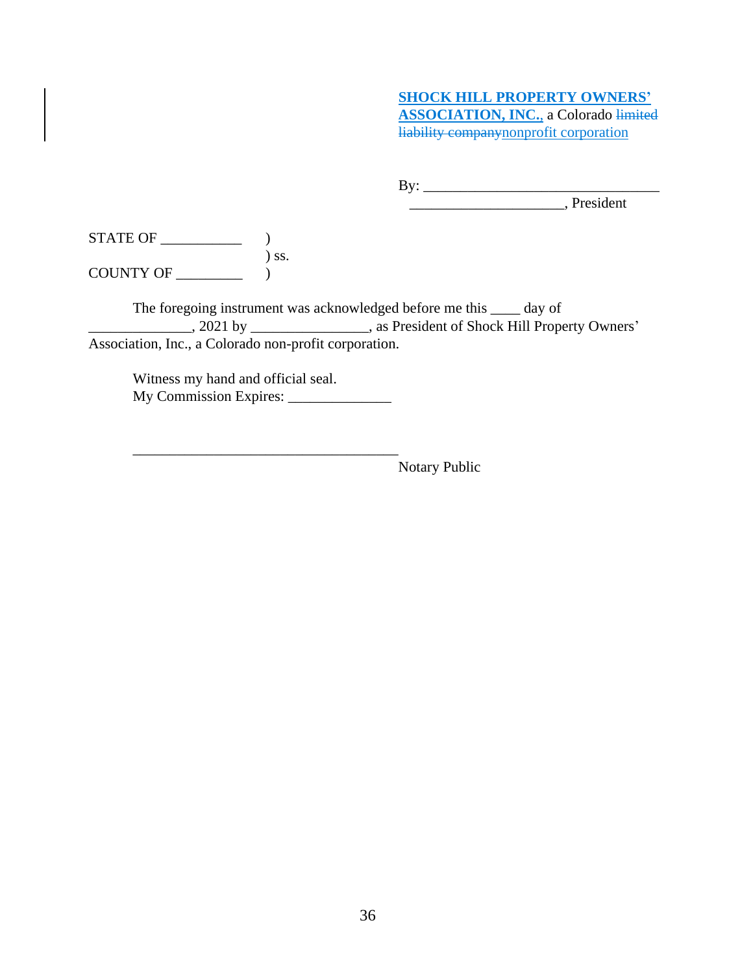# **SHOCK HILL PROPERTY OWNERS' ASSOCIATION, INC.**, a Colorado limited liability companynonprofit corporation

By: \_\_\_\_\_\_\_\_\_\_\_\_\_\_\_\_\_\_\_\_\_\_\_\_\_\_\_\_\_\_\_\_

\_\_\_\_\_\_\_\_\_\_\_\_\_\_\_\_\_\_\_\_\_, President

STATE OF \_\_\_\_\_\_\_\_\_\_\_ ) ) ss. COUNTY OF \_\_\_\_\_\_\_\_\_ )

The foregoing instrument was acknowledged before me this \_\_\_\_ day of \_\_\_\_\_\_\_\_\_\_\_\_\_\_, 2021 by \_\_\_\_\_\_\_\_\_\_\_\_\_\_\_\_, as President of Shock Hill Property Owners' Association, Inc., a Colorado non-profit corporation.

Witness my hand and official seal. My Commission Expires: \_\_\_\_\_\_\_\_\_\_\_\_\_\_

\_\_\_\_\_\_\_\_\_\_\_\_\_\_\_\_\_\_\_\_\_\_\_\_\_\_\_\_\_\_\_\_\_\_\_\_

Notary Public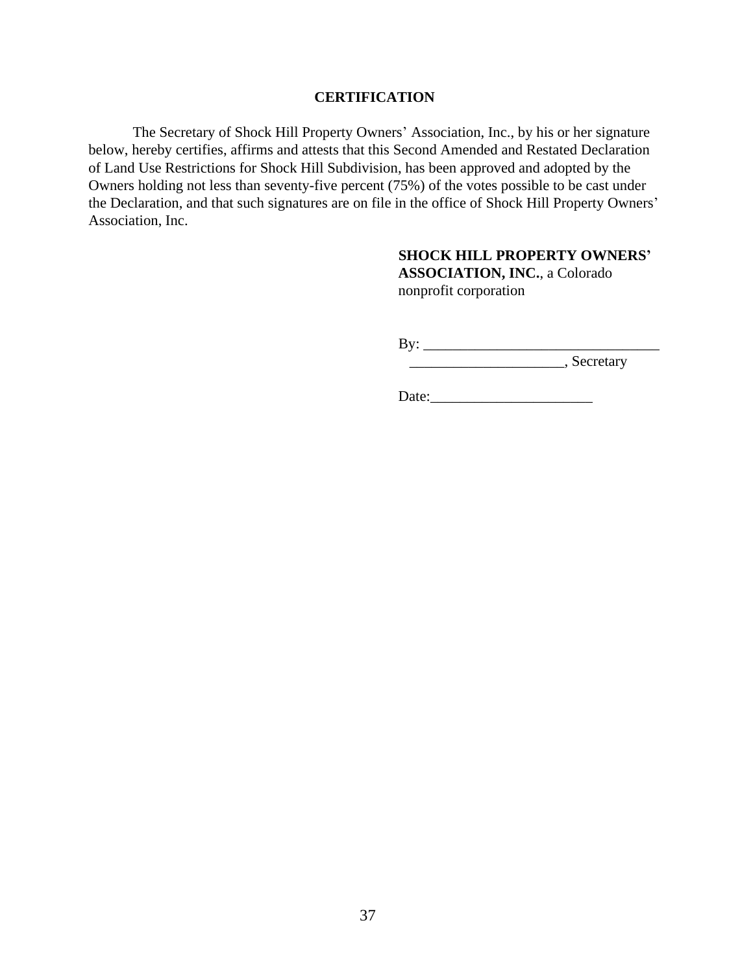#### **CERTIFICATION**

The Secretary of Shock Hill Property Owners' Association, Inc., by his or her signature below, hereby certifies, affirms and attests that this Second Amended and Restated Declaration of Land Use Restrictions for Shock Hill Subdivision, has been approved and adopted by the Owners holding not less than seventy-five percent (75%) of the votes possible to be cast under the Declaration, and that such signatures are on file in the office of Shock Hill Property Owners' Association, Inc.

### **SHOCK HILL PROPERTY OWNERS'**

**ASSOCIATION, INC.**, a Colorado nonprofit corporation

By: \_\_\_\_\_\_\_\_\_\_\_\_\_\_\_\_\_\_\_\_\_\_\_\_\_\_\_\_\_\_\_\_

 $\frac{1}{\sqrt{1-\frac{1}{2}}\sqrt{1-\frac{1}{2}}\sqrt{1-\frac{1}{2}}}}$ , Secretary

Date:\_\_\_\_\_\_\_\_\_\_\_\_\_\_\_\_\_\_\_\_\_\_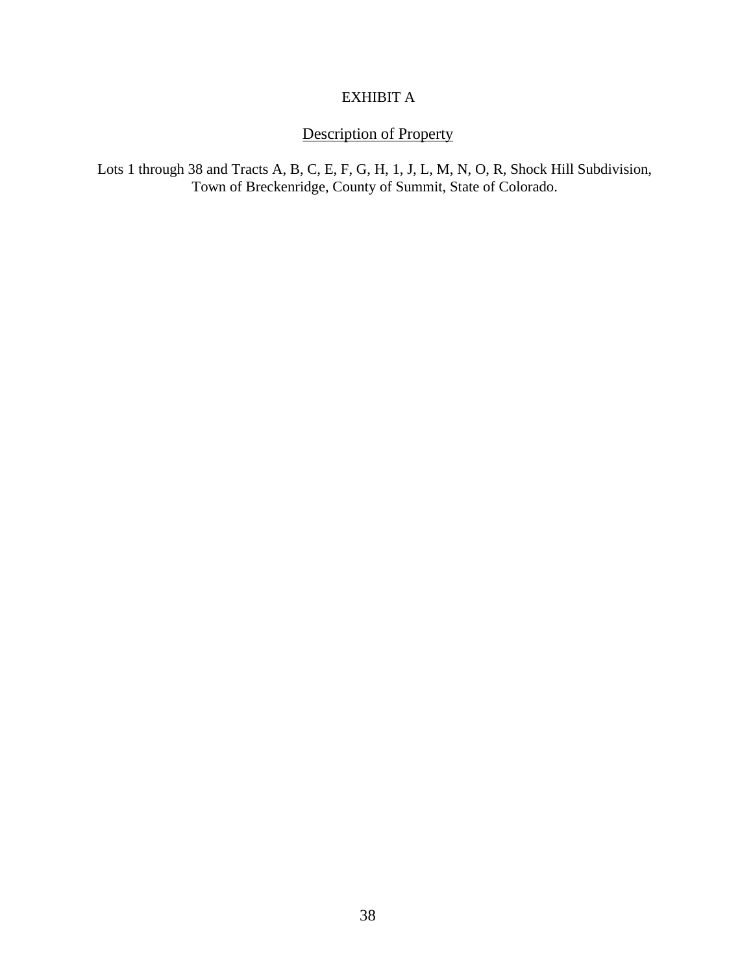# EXHIBIT A

# Description of Property

Lots 1 through 38 and Tracts A, B, C, E, F, G, H, 1, J, L, M, N, O, R, Shock Hill Subdivision, Town of Breckenridge, County of Summit, State of Colorado.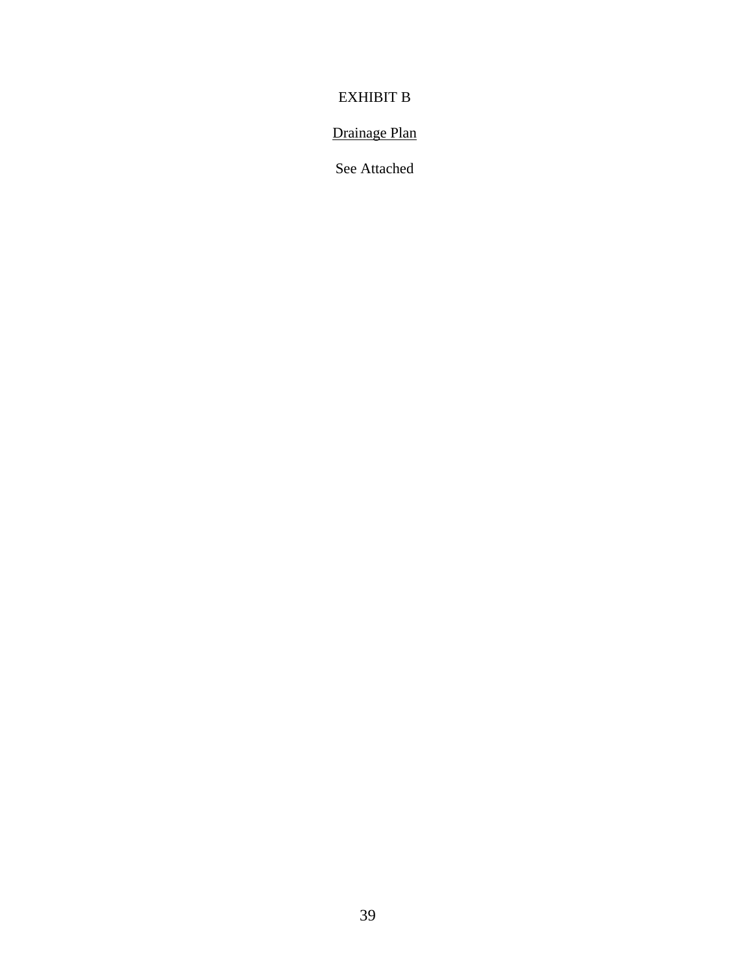# EXHIBIT B

# Drainage Plan

See Attached